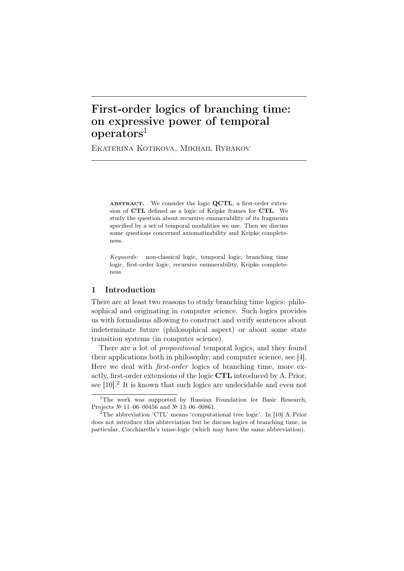# First-order logics of branching time: on expressive power of temporal operators<sup>1</sup>

Ekaterina Kotikova, Mikhail Rybakov

ABSTRACT. We consider the logic **QCTL**, a first-order extension of **CTL** defined as a logic of Kripke frames for **CTL**. We study the question about recursive enumerability of its fragments specified by a set of temporal modalities we use. Then we discuss some questions concerned axiomatizability and Kripke completeness.

*Keywords:* non-classical logic, temporal logic, branching time logic, first-order logic, recursive enumerability, Kripke completeness

## 1 Introduction

There are at least two reasons to study branching time logics: philosophical and originating in computer science. Such logics provides us with formalisms allowing to construct and verify sentences about indeterminate future (philosophical aspect) or about some state transition systems (in computer science).

There are a lot of *propositional* temporal logics, and they found their applications both in philosophy, and computer science, see [4]. Here we deal with *first-order* logics of branching time, more exactly, first-order extensions of the logic CTL introduced by A. Prior, see [10].<sup>2</sup> It is known that such logics are undecidable and even not

<sup>&</sup>lt;sup>1</sup>The work was supported by Russian Foundation for Basic Research, Projects № 11–06–00456 and № 13–06–00861.

<sup>&</sup>lt;sup>2</sup>The abbreviation 'CTL' means 'computational tree logic'. In [10] A. Prior does not introduce this abbreviation but he discuss logics of branching time, in particular, Cocchiarella's tense-logic (which may have the same abbreviation).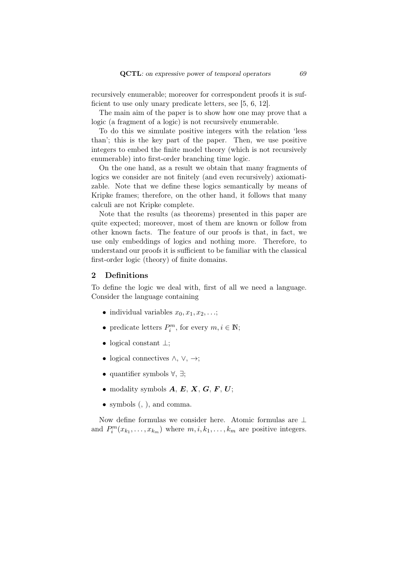recursively enumerable; moreover for correspondent proofs it is sufficient to use only unary predicate letters, see [5, 6, 12].

The main aim of the paper is to show how one may prove that a logic (a fragment of a logic) is not recursively enumerable.

To do this we simulate positive integers with the relation 'less than'; this is the key part of the paper. Then, we use positive integers to embed the finite model theory (which is not recursively enumerable) into first-order branching time logic.

On the one hand, as a result we obtain that many fragments of logics we consider are not finitely (and even recursively) axiomatizable. Note that we define these logics semantically by means of Kripke frames; therefore, on the other hand, it follows that many calculi are not Kripke complete.

Note that the results (as theorems) presented in this paper are quite expected; moreover, most of them are known or follow from other known facts. The feature of our proofs is that, in fact, we use only embeddings of logics and nothing more. Therefore, to understand our proofs it is sufficient to be familiar with the classical first-order logic (theory) of finite domains.

## 2 Definitions

To define the logic we deal with, first of all we need a language. Consider the language containing

- individual variables  $x_0, x_1, x_2, \ldots;$
- predicate letters  $P_i^m$ , for every  $m, i \in \mathbb{N}$ ;
- *•* logical constant *⊥*;
- *•* logical connectives *∧*, *∨*, *→*;
- *•* quantifier symbols *∀*, *∃*;
- modality symbols  $A, E, X, G, F, U;$
- *•* symbols (, ), and comma.

Now define formulas we consider here. Atomic formulas are *⊥* and  $P_i^m(x_{k_1},...,x_{k_m})$  where  $m, i, k_1,...,k_m$  are positive integers.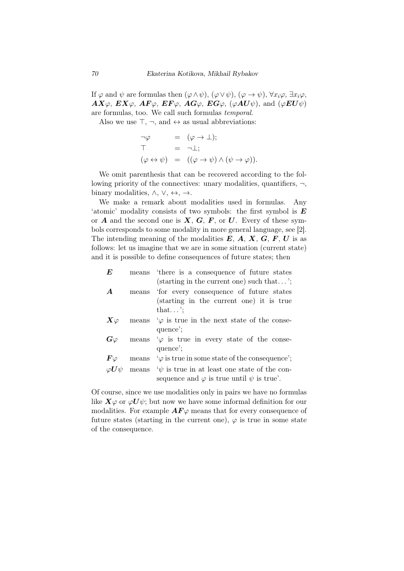If  $\varphi$  and  $\psi$  are formulas then  $(\varphi \land \psi)$ ,  $(\varphi \lor \psi)$ ,  $(\varphi \to \psi)$ ,  $\forall x_i \varphi$ ,  $\exists x_i \varphi$ ,  $AX\varphi$ ,  $EX\varphi$ ,  $AF\varphi$ ,  $EF\varphi$ ,  $AG\varphi$ ,  $EG\varphi$ , ( $\varphi AU\psi$ ), and ( $\varphi EU\psi$ ) are formulas, too. We call such formulas *temporal*.

Also we use *⊤*, *¬*, and *↔* as usual abbreviations:

$$
\neg \varphi = (\varphi \to \bot);
$$
  
\n
$$
\top = \neg \bot;
$$
  
\n
$$
(\varphi \leftrightarrow \psi) = ((\varphi \to \psi) \land (\psi \to \varphi)).
$$

We omit parenthesis that can be recovered according to the following priority of the connectives: unary modalities, quantifiers, *¬*, binary modalities, *∧*, *∨*, *↔*, *→*.

We make a remark about modalities used in formulas. Any 'atomic' modality consists of two symbols: the first symbol is *E* or  $A$  and the second one is  $X, G, F$ , or  $U$ . Every of these symbols corresponds to some modality in more general language, see [2]. The intending meaning of the modalities *E*, *A*, *X*, *G*, *F*, *U* is as follows: let us imagine that we are in some situation (current state) and it is possible to define consequences of future states; then

| $\bm{E}$             |       | means 'there is a consequence of future states          |
|----------------------|-------|---------------------------------------------------------|
|                      |       | (starting in the current one) such that';               |
| $\boldsymbol{A}$     |       | means 'for every consequence of future states           |
|                      |       | (starting in the current one) it is true                |
|                      |       | that';                                                  |
| $\bm{X}\varphi$      |       | means $\varphi$ is true in the next state of the conse- |
|                      |       | quence';                                                |
| $G\varphi$           |       | means $\varphi$ is true in every state of the conse-    |
|                      |       | quence';                                                |
| $\bm{F} \varphi$     | means | $\varphi$ is true in some state of the consequence';    |
| $\varphi \bm{U}\psi$ | means | $\psi$ is true in at least one state of the con-        |
|                      |       | sequence and $\varphi$ is true until $\psi$ is true'.   |
|                      |       |                                                         |

Of course, since we use modalities only in pairs we have no formulas like  $X\varphi$  or  $\varphi U\psi$ ; but now we have some informal definition for our modalities. For example  $AF\varphi$  means that for every consequence of future states (starting in the current one),  $\varphi$  is true in some state of the consequence.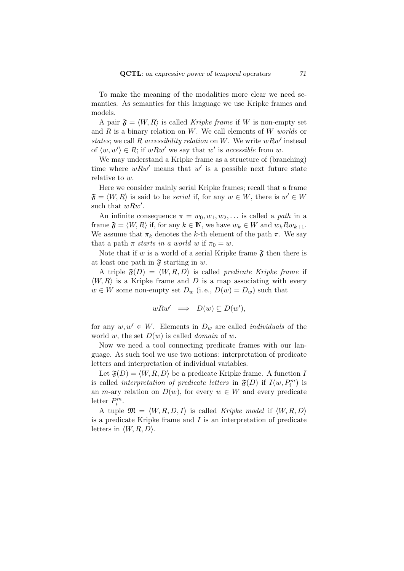To make the meaning of the modalities more clear we need semantics. As semantics for this language we use Kripke frames and models.

A pair  $\mathfrak{F} = \langle W, R \rangle$  is called *Kripke frame* if W is non-empty set and *R* is a binary relation on *W*. We call elements of *W worlds* or *states*; we call *R accessibility relation* on *W*. We write *wRw′* instead of  $\langle w, w' \rangle \in R$ ; if  $wRw'$  we say that  $w'$  is *accessible* from  $w$ .

We may understand a Kripke frame as a structure of (branching) time where  $wRw'$  means that  $w'$  is a possible next future state relative to *w*.

Here we consider mainly serial Kripke frames; recall that a frame  $\mathfrak{F} = \langle W, R \rangle$  is said to be *serial* if, for any  $w \in W$ , there is  $w' \in W$ such that *wRw′* .

An infinite consequence  $\pi = w_0, w_1, w_2, \ldots$  is called a *path* in a frame  $\mathfrak{F} = \langle W, R \rangle$  if, for any  $k \in \mathbb{N}$ , we have  $w_k \in W$  and  $w_k R w_{k+1}$ . We assume that  $\pi_k$  denotes the *k*-th element of the path  $\pi$ . We say that a path  $\pi$  *starts in a world w* if  $\pi_0 = w$ .

Note that if *w* is a world of a serial Kripke frame  $\mathfrak{F}$  then there is at least one path in  $\mathfrak{F}$  starting in *w*.

A triple  $\mathfrak{F}(D) = \langle W, R, D \rangle$  is called *predicate Kripke frame* if  $\langle W, R \rangle$  is a Kripke frame and *D* is a map associating with every  $w \in W$  some non-empty set  $D_w$  (i.e.,  $D(w) = D_w$ ) such that

$$
wRw' \implies D(w) \subseteq D(w'),
$$

for any  $w, w' \in W$ . Elements in  $D_w$  are called *individuals* of the world *w*, the set  $D(w)$  is called *domain* of *w*.

Now we need a tool connecting predicate frames with our language. As such tool we use two notions: interpretation of predicate letters and interpretation of individual variables.

Let  $\mathfrak{F}(D) = \langle W, R, D \rangle$  be a predicate Kripke frame. A function *I* is called *interpretation of predicate letters* in  $\mathfrak{F}(D)$  if  $I(w, P_i^m)$  is an *m*-ary relation on  $D(w)$ , for every  $w \in W$  and every predicate letter  $P_i^m$ .

A tuple  $\mathfrak{M} = \langle W, R, D, I \rangle$  is called *Kripke model* if  $\langle W, R, D \rangle$ is a predicate Kripke frame and *I* is an interpretation of predicate letters in  $\langle W, R, D \rangle$ .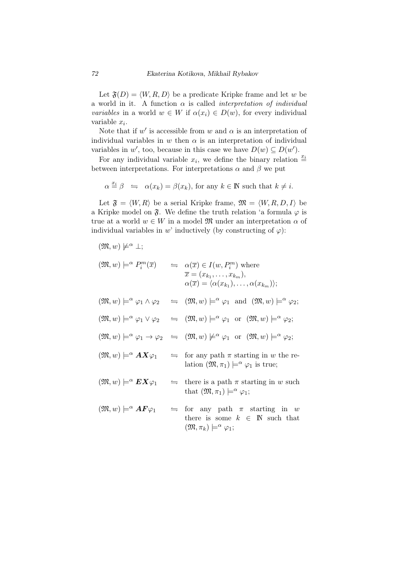Let  $\mathfrak{F}(D) = \langle W, R, D \rangle$  be a predicate Kripke frame and let *w* be a world in it. A function *α* is called *interpretation of individual variables* in a world  $w \in W$  if  $\alpha(x_i) \in D(w)$ , for every individual variable *x<sup>i</sup>* .

Note that if  $w'$  is accessible from  $w$  and  $\alpha$  is an interpretation of individual variables in  $w$  then  $\alpha$  is an interpretation of individual variables in *w'*, too, because in this case we have  $D(w) \subseteq D(w')$ .

For any individual variable  $x_i$ , we define the binary relation  $\stackrel{x_i}{=}$ between interpretations. For interpretations  $\alpha$  and  $\beta$  we put

$$
\alpha \stackrel{x_i}{=} \beta \iff \alpha(x_k) = \beta(x_k)
$$
, for any  $k \in \mathbb{N}$  such that  $k \neq i$ .

Let  $\mathfrak{F} = \langle W, R \rangle$  be a serial Kripke frame,  $\mathfrak{M} = \langle W, R, D, I \rangle$  be a Kripke model on  $\mathfrak{F}$ . We define the truth relation 'a formula  $\varphi$  is true at a world  $w \in W$  in a model  $\mathfrak{M}$  under an interpretation  $\alpha$  of individual variables in *w*' inductively (by constructing of  $\varphi$ ):

individual variables in 
$$
w'
$$
 inductively (by constructing of  $\varphi$ ):  
\n $(\mathfrak{M}, w) \not\models^{\alpha} \bot;$   
\n $(\mathfrak{M}, w) \models^{\alpha} P_i^m(\overline{x})$   $\Leftarrow \alpha(\overline{x}) \in I(w, P_i^m)$  where  
\n $\overline{x} = (x_{k_1}, \ldots, x_{k_m}),$   
\n $\alpha(\overline{x}) = \langle \alpha(x_{k_1}), \ldots, \alpha(x_{k_m}) \rangle;$   
\n $(\mathfrak{M}, w) \models^{\alpha} \varphi_1 \wedge \varphi_2$   $\Leftarrow (\mathfrak{M}, w) \models^{\alpha} \varphi_1$  and  $(\mathfrak{M}, w) \models^{\alpha} \varphi_2;$   
\n $(\mathfrak{M}, w) \models^{\alpha} \varphi_1 \vee \varphi_2$   $\Leftarrow (\mathfrak{M}, w) \models^{\alpha} \varphi_1$  or  $(\mathfrak{M}, w) \models^{\alpha} \varphi_2;$   
\n $(\mathfrak{M}, w) \models^{\alpha} \varphi_1 \rightarrow \varphi_2$   $\Leftarrow (\mathfrak{M}, w) \not\models^{\alpha} \varphi_1$  or  $(\mathfrak{M}, w) \models^{\alpha} \varphi_2;$   
\n $(\mathfrak{M}, w) \models^{\alpha} A X \varphi_1$   $\Leftarrow$  for any path  $\pi$  starting in  $w$  the relation  $(\mathfrak{M}, \pi_1) \models^{\alpha} \varphi_1$  is true;  
\n $(\mathfrak{M}, w) \models^{\alpha} E X \varphi_1$   $\Leftarrow$  there is a path  $\pi$  starting in  $w$  such that  $(\mathfrak{M}, \pi_1) \models^{\alpha} \varphi_1;$   
\n $(\mathfrak{M}, w) \models^{\alpha} AF \varphi_1$   $\Leftarrow$  for any path  $\pi$  starting in  $w$  there is some  $k \in \mathbb{N}$  such that  $(\mathfrak{M}, \pi_k) \models^{\alpha} \varphi_1;$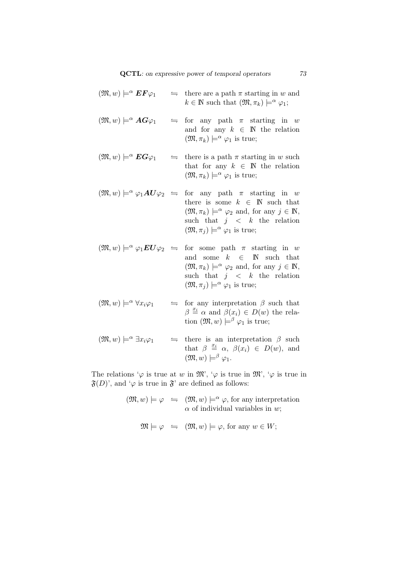| $(\mathfrak{M},w)\models^{\alpha} \bm{E}\bm{F}\varphi_1$    | $\Rightarrow$ there are a path $\pi$ starting in w and<br>$k \in \mathbb{N}$ such that $(\mathfrak{M}, \pi_k) \models^{\alpha} \varphi_1;$                                                                                                                                                                                                                             |
|-------------------------------------------------------------|------------------------------------------------------------------------------------------------------------------------------------------------------------------------------------------------------------------------------------------------------------------------------------------------------------------------------------------------------------------------|
| $(\mathfrak{M},w)\models^{\alpha} \mathbf{AG}\varphi_1$     | $\leftrightharpoons$ for any path $\pi$ starting in w<br>and for any $k \in \mathbb{N}$ the relation<br>$(\mathfrak{M}, \pi_k) \models^{\alpha} \varphi_1$ is true;                                                                                                                                                                                                    |
| $(\mathfrak{M},w)\models^{\alpha} \boldsymbol{EG\varphi_1}$ | $\Rightarrow$ there is a path $\pi$ starting in w such<br>that for any $k \in \mathbb{N}$ the relation<br>$(\mathfrak{M}, \pi_k) \models^{\alpha} \varphi_1$ is true;                                                                                                                                                                                                  |
|                                                             | $(\mathfrak{M}, w) \models^{\alpha} \varphi_1 \mathbf{A} U \varphi_2 \equiv \text{for any path } \pi \text{ starting in } w$<br>there is some $k \in \mathbb{N}$ such that<br>$(\mathfrak{M}, \pi_k) \models^{\alpha} \varphi_2$ and, for any $j \in \mathbb{N}$ ,<br>such that $j \leq k$ the relation<br>$(\mathfrak{M}, \pi_i) \models^{\alpha} \varphi_1$ is true; |
|                                                             | $(\mathfrak{M}, w) \models^{\alpha} \varphi_1 \mathbf{E} U \varphi_2 \preceq \text{ for some path } \pi \text{ starting in } w$<br>and some $k \in \mathbb{N}$ such that<br>$(\mathfrak{M}, \pi_k) \models^{\alpha} \varphi_2$ and, for any $j \in \mathbb{N}$ ,<br>such that $j \leq k$ the relation<br>$(\mathfrak{M}, \pi_i) \models^{\alpha} \varphi_1$ is true;   |
| $(\mathfrak{M},w)\models^{\alpha} \forall x_i\varphi_1$     | $\Rightarrow$ for any interpretation $\beta$ such that<br>$\beta \stackrel{x_i}{=} \alpha$ and $\beta(x_i) \in D(w)$ the rela-<br>tion $(\mathfrak{M}, w) \models^{\beta} \varphi_1$ is true;                                                                                                                                                                          |
| $(\mathfrak{M},w)\models^{\alpha} \exists x_i\varphi_1$     | $\Rightarrow$ there is an interpretation $\beta$ such<br>that $\beta \stackrel{x_i}{=} \alpha, \ \beta(x_i) \in D(w)$ , and<br>$(\mathfrak{M},w)\models^{\beta}\varphi_1.$                                                                                                                                                                                             |

The relations ' $\varphi$  is true at *w* in  $\mathfrak{M}'$ , ' $\varphi$  is true in  $\mathfrak{M}'$ , ' $\varphi$  is true in  $\mathfrak{F}(D)$ ', and ' $\varphi$  is true in  $\mathfrak{F}'$  are defined as follows:

> $(\mathfrak{M}, w) \models \varphi \iff (\mathfrak{M}, w) \models^{\alpha} \varphi$ , for any interpretation *α* of individual variables in *w*;

 $\mathfrak{M} \models \varphi \Leftrightarrow (\mathfrak{M}, w) \models \varphi$ , for any  $w \in W$ ;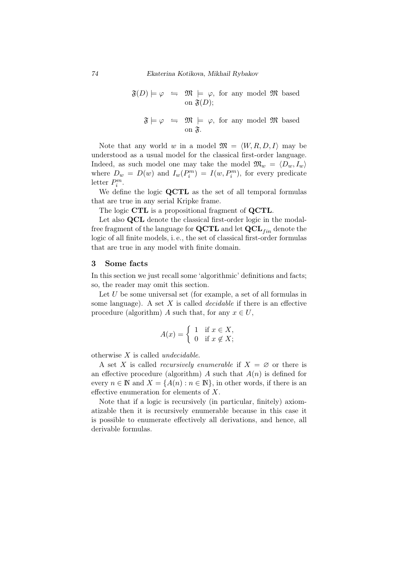$\mathfrak{F}(D) \models \varphi \iff \mathfrak{M} \models \varphi$ , for any model  $\mathfrak{M}$  based on  $\mathfrak{F}(D)$ :

$$
\mathfrak{F}\models \varphi \iff \mathfrak{M}\models \varphi, \text{ for any model } \mathfrak{M} \text{ based on } \mathfrak{F}.
$$

Note that any world *w* in a model  $\mathfrak{M} = \langle W, R, D, I \rangle$  may be understood as a usual model for the classical first-order language. Indeed, as such model one may take the model  $\mathfrak{M}_w = \langle D_w, I_w \rangle$ where  $D_w = D(w)$  and  $I_w(P_i^m) = I(w, P_i^m)$ , for every predicate letter  $P_i^m$ .

We define the logic **QCTL** as the set of all temporal formulas that are true in any serial Kripke frame.

The logic **CTL** is a propositional fragment of **QCTL**.

Let also **QCL** denote the classical first-order logic in the modalfree fragment of the language for  $\mathbf{QCTL}$  and let  $\mathbf{QCL}_{fin}$  denote the logic of all finite models, i. e., the set of classical first-order formulas that are true in any model with finite domain.

#### 3 Some facts

In this section we just recall some 'algorithmic' definitions and facts; so, the reader may omit this section.

Let *U* be some universal set (for example, a set of all formulas in some language). A set *X* is called *decidable* if there is an effective procedure (algorithm) *A* such that, for any  $x \in U$ ,

$$
A(x) = \begin{cases} 1 & \text{if } x \in X, \\ 0 & \text{if } x \notin X; \end{cases}
$$

otherwise *X* is called *undecidable*.

A set X is called *recursively enumerable* if  $X = \emptyset$  or there is an effective procedure (algorithm)  $\tilde{A}$  such that  $\tilde{A}(n)$  is defined for every  $n \in \mathbb{N}$  and  $X = \{A(n) : n \in \mathbb{N}\}\$ , in other words, if there is an effective enumeration for elements of *X*.

Note that if a logic is recursively (in particular, finitely) axiomatizable then it is recursively enumerable because in this case it is possible to enumerate effectively all derivations, and hence, all derivable formulas.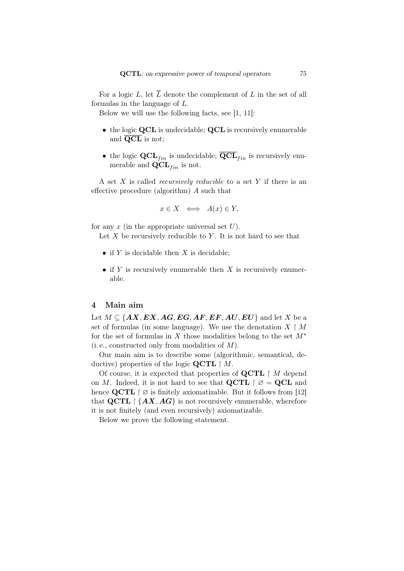For a logic  $L$ , let  $\overline{L}$  denote the complement of  $L$  in the set of all formulas in the language of *L*.

Below we will use the following facts, see [1, 11]:

- *•* the logic **QCL** is undecidable; **QCL** is recursively enumerable and **QCL** is not;
- the logic  $\mathbf{QCL}_{fin}$  is undecidable;  $\overline{\mathbf{QCL}}_{fin}$  is recursively enumerable and  $\mathbf{QCL}_{fin}$  is not.

A set *X* is called *recursively reducible* to a set *Y* if there is an effective procedure (algorithm) *A* such that

$$
x \in X \iff A(x) \in Y,
$$

for any *x* (in the appropriate universal set *U*).

Let *X* be recursively reducible to *Y*. It is not hard to see that

- *•* if *Y* is decidable then *X* is decidable;
- *•* if *Y* is recursively enumerable then *X* is recursively enumerable.

# 4 Main aim

Let  $M \subseteq \{AX, EX, AG, EG, AF, EF, AU, EU\}$  and let *X* be a set of formulas (in some language). We use the denotation  $X \upharpoonright M$ for the set of formulas in *X* those modalities belong to the set *M<sup>∗</sup>* (i. e., constructed only from modalities of *M*).

Our main aim is to describe some (algorithmic, semantical, deductive) properties of the logic **QCTL** *M*.

Of course, it is expected that properties of **QCTL** *M* depend on *M*. Indeed, it is not hard to see that  $\mathbf{QCTL} \upharpoonright \varnothing = \mathbf{QCL}$  and hence **QCTL**  $\upharpoonright \varnothing$  is finitely axiomatizable. But it follows from [12] that  $\text{QCTL} \restriction \{AX, AG\}$  is not recursively enumerable, wherefore it is not finitely (and even recursively) axiomatizable.

Below we prove the following statement.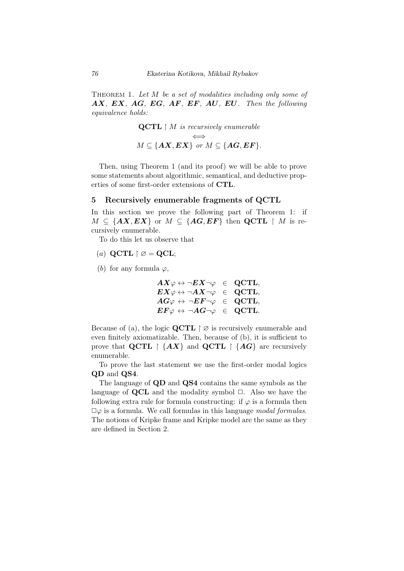Theorem 1. *Let M be a set of modalities including only some of AX, EX, AG, EG, AF, EF, AU, EU. Then the following equivalence holds:*

$$
\begin{aligned}\n\mathbf{QCTL} \upharpoonright M \text{ is recursively enumerable} \\
M \subseteq \{AX, EX\} \text{ or } M \subseteq \{AG, EF\}.\n\end{aligned}
$$

Then, using Theorem 1 (and its proof) we will be able to prove some statements about algorithmic, semantical, and deductive properties of some first-order extensions of **CTL**.

## 5 Recursively enumerable fragments of **QCTL**

In this section we prove the following part of Theorem 1: if  $M \subseteq \{AX, EX\}$  or  $M \subseteq \{AG, EF\}$  then **QCTL**  $\upharpoonright M$  is recursively enumerable.

To do this let us observe that

- $(a)$  **QCTL**  $\upharpoonright \varnothing =$  **QCL**;
- (*b*) for any formula  $\varphi$ ,

$$
\begin{array}{rclcl} AX\varphi\leftrightarrow\neg EX\neg\varphi &\in& \text{QCTL},\\ EX\varphi\leftrightarrow\neg AX\neg\varphi &\in& \text{QCTL},\\ AG\varphi\leftrightarrow\neg EF\neg\varphi &\in& \text{QCTL},\\ EF\varphi\leftrightarrow\neg AG\neg\varphi &\in& \text{QCTL}. \end{array}
$$

Because of (a), the logic **QCTL**  $\uparrow \varnothing$  is recursively enumerable and even finitely axiomatizable. Then, because of (b), it is sufficient to prove that **QCTL**  $\restriction$  {AX} and **QCTL**  $\restriction$  {AG} are recursively enumerable.

To prove the last statement we use the first-order modal logics **QD** and **QS4**.

The language of **QD** and **QS4** contains the same symbols as the language of **QCL** and the modality symbol  $\Box$ . Also we have the following extra rule for formula constructing: if  $\varphi$  is a formula then  $\Box \varphi$  is a formula. We call formulas in this language *modal formulas*. The notions of Kripke frame and Kripke model are the same as they are defined in Section 2.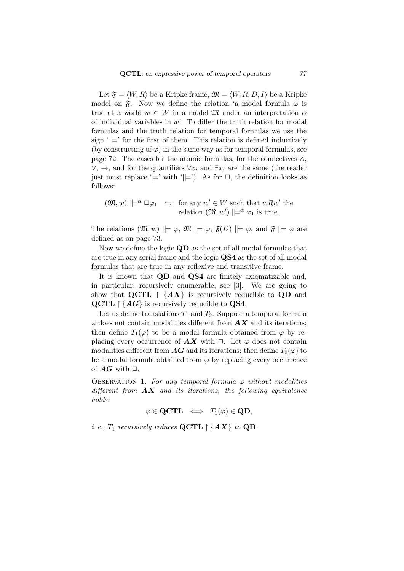Let  $\mathfrak{F} = \langle W, R \rangle$  be a Kripke frame,  $\mathfrak{M} = \langle W, R, D, I \rangle$  be a Kripke model on  $\mathfrak{F}$ . Now we define the relation 'a modal formula  $\varphi$  is true at a world  $w \in W$  in a model  $\mathfrak{M}$  under an interpretation  $\alpha$ of individual variables in *w*'. To differ the truth relation for modal formulas and the truth relation for temporal formulas we use the sign  $\vert \vert$ = for the first of them. This relation is defined inductively (by constructing of  $\varphi$ ) in the same way as for temporal formulas, see page 72. The cases for the atomic formulas, for the connectives *∧*, *∨*, *→*, and for the quantifiers *∀x<sup>i</sup>* and *∃x<sup>i</sup>* are the same (the reader just must replace ' $\models'$  with ' $\models'$ ). As for  $\Box$ , the definition looks as follows:

$$
(\mathfrak{M}, w) \mid \models^{\alpha} \Box \varphi_1 \iff \text{for any } w' \in W \text{ such that } wRw' \text{ the relation } (\mathfrak{M}, w') \mid \models^{\alpha} \varphi_1 \text{ is true.}
$$

The relations  $(\mathfrak{M}, w) \models \varphi, \mathfrak{M} \models \varphi, \mathfrak{F}(D) \models \varphi, \text{ and } \mathfrak{F} \models \varphi \text{ are}$ defined as on page 73.

Now we define the logic **QD** as the set of all modal formulas that are true in any serial frame and the logic **QS4** as the set of all modal formulas that are true in any reflexive and transitive frame.

It is known that **QD** and **QS4** are finitely axiomatizable and, in particular, recursively enumerable, see [3]. We are going to show that **QCTL**  $\upharpoonright$   $\{AX\}$  is recursively reducible to **QD** and **QCTL** *{AG}* is recursively reducible to **QS4**.

Let us define translations  $T_1$  and  $T_2$ . Suppose a temporal formula  $\varphi$  does not contain modalities different from  $AX$  and its iterations; then define  $T_1(\varphi)$  to be a modal formula obtained from  $\varphi$  by replacing every occurrence of  $AX$  with  $\Box$ . Let  $\varphi$  does not contain modalities different from  $\overline{AG}$  and its iterations; then define  $T_2(\varphi)$  to be a modal formula obtained from *φ* by replacing every occurrence of  $AG$  with  $\Box$ .

OBSERVATION 1. For any temporal formula  $\varphi$  without modalities *different from AX and its iterations, the following equivalence holds:*

 $\varphi \in \mathbf{QCTL} \iff T_1(\varphi) \in \mathbf{QD}$ ,

*i. e.,*  $T_1$  *recursively reduces*  $\mathbf{QCTL} \restriction \{AX\}$  *to*  $\mathbf{QD}$ *.*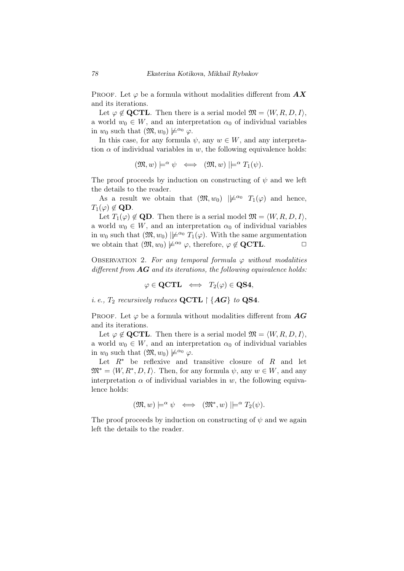PROOF. Let  $\varphi$  be a formula without modalities different from  $AX$ and its iterations.

Let  $\varphi \notin \mathbf{QCTL}$ . Then there is a serial model  $\mathfrak{M} = \langle W, R, D, I \rangle$ , a world  $w_0 \in W$ , and an interpretation  $\alpha_0$  of individual variables in  $w_0$  such that  $(\mathfrak{M}, w_0) \not\models^{\alpha_0} \varphi$ .

In this case, for any formula  $\psi$ , any  $w \in W$ , and any interpretation  $\alpha$  of individual variables in *w*, the following equivalence holds:

$$
(\mathfrak{M},w)\models^{\alpha}\psi\iff(\mathfrak{M},w)\models^{\alpha}T_1(\psi).
$$

The proof proceeds by induction on constructing of  $\psi$  and we left the details to the reader.

As a result we obtain that  $(\mathfrak{M}, w_0) \not\models^{\alpha_0} T_1(\varphi)$  and hence,  $T_1(\varphi) \notin \mathbf{QD}$ .

Let  $T_1(\varphi) \notin \mathbf{QD}$ . Then there is a serial model  $\mathfrak{M} = \langle W, R, D, I \rangle$ , a world  $w_0 \in W$ , and an interpretation  $\alpha_0$  of individual variables in  $w_0$  such that  $(\mathfrak{M}, w_0) \not\models^{\alpha_0} T_1(\varphi)$ . With the same argumentation we obtain that  $(\mathfrak{M}, w_0) \not\models^{\alpha_0} \varphi$ , therefore,  $\varphi \notin \mathbf{QCTL}$ .  $\Box$ 

OBSERVATION 2. For any temporal formula  $\varphi$  without modalities *different from AG and its iterations, the following equivalence holds:*

$$
\varphi \in {\operatorname{\mathbf{QCTL}}} \ \ \Longleftrightarrow \ \ T_2(\varphi) \in{\operatorname{\mathbf{QS4}}},
$$

*i. e.,*  $T_2$  *recursively reduces*  $\mathbf{QCTL} \restriction \{AG\}$  *to*  $\mathbf{QS4}$ *.* 

PROOF. Let  $\varphi$  be a formula without modalities different from  $AG$ and its iterations.

Let  $\varphi \notin \mathbf{QCTL}$ . Then there is a serial model  $\mathfrak{M} = \langle W, R, D, I \rangle$ , a world  $w_0 \in W$ , and an interpretation  $\alpha_0$  of individual variables in  $w_0$  such that  $(\mathfrak{M}, w_0) \not\models^{\alpha_0} \varphi$ .

Let  $R^*$  be reflexive and transitive closure of  $R$  and let  $\mathfrak{M}^* = \langle W, R^*, D, I \rangle$ . Then, for any formula  $\psi$ , any  $w \in W$ , and any interpretation  $\alpha$  of individual variables in *w*, the following equivalence holds:

$$
(\mathfrak{M},w)\models^{\alpha}\psi\iff(\mathfrak{M}^*,w)\models^{\alpha}T_2(\psi).
$$

The proof proceeds by induction on constructing of  $\psi$  and we again left the details to the reader.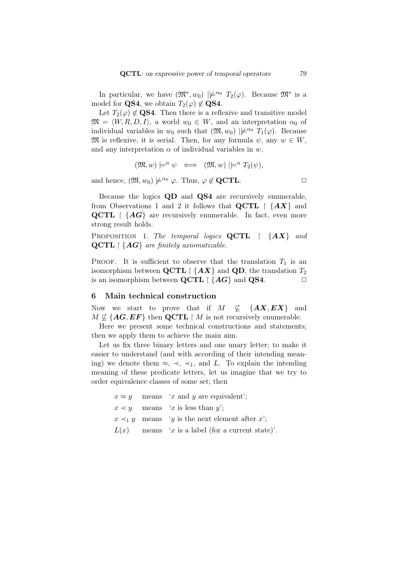In particular, we have  $(\mathfrak{M}^*, w_0) \not\mid \not\models^{\alpha_0} T_2(\varphi)$ . Because  $\mathfrak{M}^*$  is a model for **QS4**, we obtain  $T_2(\varphi) \notin \mathbf{QS4}$ .

Let  $T_2(\varphi) \notin \mathbf{QS4}$ . Then there is a reflexive and transitive model  $\mathfrak{M} = \langle W, R, D, I \rangle$ , a world  $w_0 \in W$ , and an interpretation  $\alpha_0$  of individual variables in  $w_0$  such that  $(\mathfrak{M}, w_0)$   $|\not\models^{\alpha_0} T_1(\varphi)$ . Because  $\mathfrak{M}$  is reflexive, it is serial. Then, for any formula  $\psi$ , any  $w \in W$ , and any interpretation  $\alpha$  of individual variables in  $w$ ,

$$
(\mathfrak{M},w)\models^{\alpha}\psi\iff(\mathfrak{M},w)\models^{\alpha}T_2(\psi),
$$

and hence,  $(\mathfrak{M}, w_0) \not\models^{\alpha_0} \varphi$ . Thus,  $\varphi \notin \mathbf{QCTL}$ .  $\Box$ 

Because the logics **QD** and **QS4** are recursively enumerable, from Observations 1 and 2 it follows that  $\mathbf{QCTL} \upharpoonright \{AX\}$  and **QCTL**  $\{AG\}$  are recursively enumerable. In fact, even more strong result holds.

Proposition 1. *The temporal logics* **QCTL** *{AX} and* **QCTL** *{AG} are finitely axiomatizable.*

PROOF. It is sufficient to observe that the translation  $T_1$  is an isomorphism between **QCTL**  $\restriction$  {*AX*} and **QD**, the translation  $T_2$ is an isomorphism between  $\mathbf{QCTL} \restriction \{AG\}$  and  $\mathbf{QS4}$ .

## 6 Main technical construction

Now we start to prove that if  $M \not\subset \{AX, EX\}$  and  $M \nsubseteq \{AG, EF\}$  then **QCTL**  $\upharpoonright M$  is not recursively enumerable.

Here we present some technical constructions and statements; then we apply them to achieve the main aim.

Let us fix three binary letters and one unary letter; to make it easier to understand (and with according of their intending meaning) we denote them  $\approx$ ,  $\prec$ ,  $\prec$ <sub>1</sub>, and *L*. To explain the intending meaning of these predicate letters, let us imagine that we try to order equivalence classes of some set; then

> $x \approx y$  means '*x* and *y* are equivalent';  $x \prec y$  means '*x* is less than *y*';  $x \prec_1 y$  means *'y* is the next element after *x*';  $L(x)$  means '*x* is a label (for a current state)'.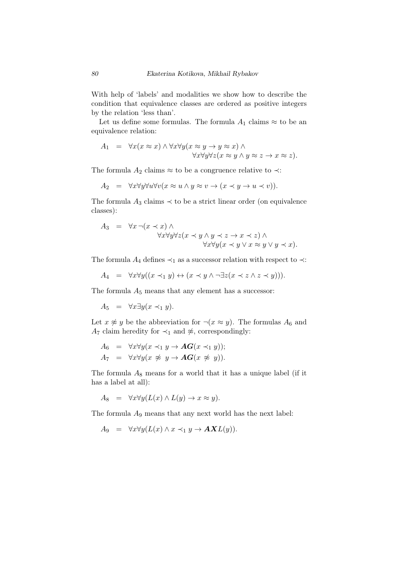With help of 'labels' and modalities we show how to describe the condition that equivalence classes are ordered as positive integers by the relation 'less than'.

Let us define some formulas. The formula  $A_1$  claims  $\approx$  to be an equivalence relation:

$$
A_1 = \forall x (x \approx x) \land \forall x \forall y (x \approx y \rightarrow y \approx x) \land \forall x \forall y \forall z (x \approx y \land y \approx z \rightarrow x \approx z).
$$

The formula  $A_2$  claims  $\approx$  to be a congruence relative to  $\prec$ :

$$
A_2 = \forall x \forall y \forall u \forall v (x \approx u \land y \approx v \to (x \prec y \to u \prec v)).
$$

The formula  $A_3$  claims  $\prec$  to be a strict linear order (on equivalence classes):

$$
A_3 = \forall x \neg (x \prec x) \land \n\forall x \forall y \forall z (x \prec y \land y \prec z \rightarrow x \prec z) \land \n\forall x \forall y (x \prec y \lor x \approx y \lor y \prec x).
$$

The formula  $A_4$  defines  $\prec_1$  as a successor relation with respect to  $\prec$ :

$$
A_4 = \forall x \forall y ((x \prec_1 y) \leftrightarrow (x \prec y \land \neg \exists z (x \prec z \land z \prec y))).
$$

The formula  $A_5$  means that any element has a successor:

 $A_5 = \forall x \exists y (x \prec_1 y).$ 

Let  $x \not\approx y$  be the abbreviation for  $\neg(x \approx y)$ . The formulas  $A_6$  and *A*<sub>7</sub> claim heredity for  $\prec_1$  and  $\not\approx$ , correspondingly:

$$
A_6 = \forall x \forall y (x \prec_1 y \rightarrow \mathbf{AG}(x \prec_1 y));
$$
  
\n
$$
A_7 = \forall x \forall y (x \not\approx y \rightarrow \mathbf{AG}(x \not\approx y)).
$$

The formula  $A_8$  means for a world that it has a unique label (if it has a label at all):

$$
A_8 = \forall x \forall y (L(x) \land L(y) \to x \approx y).
$$

The formula *A*<sup>9</sup> means that any next world has the next label:

$$
A_9 = \forall x \forall y (L(x) \land x \prec_1 y \to \mathbf{AXL}(y)).
$$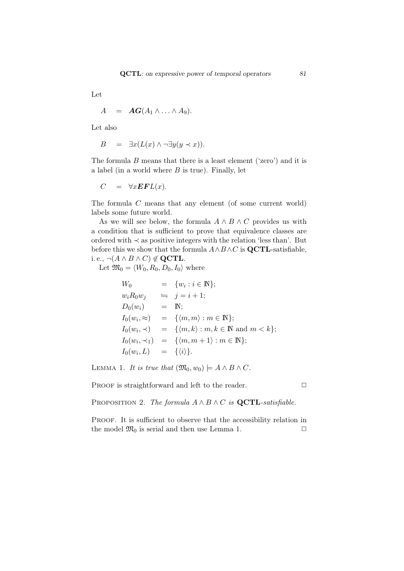Let

$$
A = \textbf{AG}(A_1 \wedge \ldots \wedge A_9).
$$

Let also

$$
B = \exists x (L(x) \land \neg \exists y (y \prec x)).
$$

The formula *B* means that there is a least element ('zero') and it is a label (in a world where *B* is true). Finally, let

$$
C = \forall x \mathbf{EFL}(x).
$$

The formula *C* means that any element (of some current world) labels some future world.

As we will see below, the formula  $A \wedge B \wedge C$  provides us with a condition that is sufficient to prove that equivalence classes are ordered with *≺* as positive integers with the relation 'less than'. But before this we show that the formula  $A \wedge B \wedge C$  is  $\mathbf{QCTL}$ -satisfiable, i. e.,  $\neg(A \land B \land C) \notin \mathbf{QCTL}$ .

Let  $\mathfrak{M}_0 = \langle W_0, R_0, D_0, I_0 \rangle$  where

$$
W_0 = \{w_i : i \in \mathbb{N}\};
$$
  
\n
$$
w_i R_0 w_j \Leftrightarrow j = i + 1;
$$
  
\n
$$
D_0(w_i) = \mathbb{N};
$$
  
\n
$$
I_0(w_i, \approx) = \{ \langle m, m \rangle : m \in \mathbb{N} \};
$$
  
\n
$$
I_0(w_i, \prec) = \{ \langle m, k \rangle : m, k \in \mathbb{N} \text{ and } m \langle k \rangle \};
$$
  
\n
$$
I_0(w_i, \prec_1) = \{ \langle m, m + 1 \rangle : m \in \mathbb{N} \};
$$
  
\n
$$
I_0(w_i, L) = \{ \langle i \rangle \}.
$$

LEMMA 1. *It is true that*  $(\mathfrak{M}_0, w_0) \models A \land B \land C$ .

PROOF is straightforward and left to the reader.  $\Box$ 

PROPOSITION 2. *The formula*  $A \wedge B \wedge C$  *is* **QCTL**-satisfiable.

PROOF. It is sufficient to observe that the accessibility relation in the model  $\mathfrak{M}_0$  is serial and then use Lemma 1.  $\Box$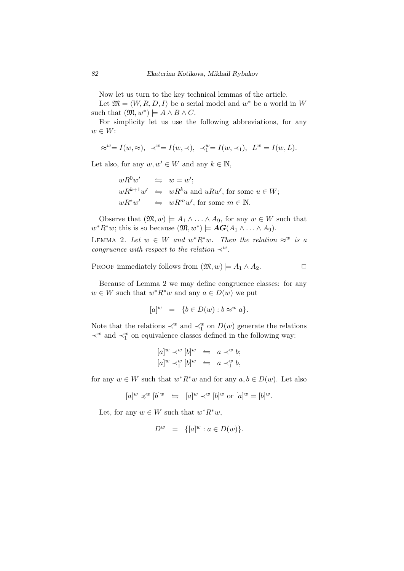Now let us turn to the key technical lemmas of the article.

Let  $\mathfrak{M} = \langle W, R, D, I \rangle$  be a serial model and  $w^*$  be a world in W such that  $(\mathfrak{M}, w^*)$   $\models A \land B \land C$ .

For simplicity let us use the following abbreviations, for any *w ∈ W*:

$$
\approx^w=I(w,\approx),\ \ \prec^w=I(w,\prec),\ \ \prec^w_1=I(w,\prec_1),\ \ L^w=I(w,L).
$$

Let also, for any  $w, w' \in W$  and any  $k \in \mathbb{N}$ ,

$$
wR^{0}w' \Leftrightarrow w = w';
$$
  
\n
$$
wR^{k+1}w' \Leftrightarrow wR^{k}u \text{ and } uRw', \text{ for some } u \in W;
$$
  
\n
$$
wR^{*}w' \Leftrightarrow wR^{m}w', \text{ for some } m \in \mathbb{N}.
$$

Observe that  $(\mathfrak{M}, w) \models A_1 \land \ldots \land A_9$ , for any  $w \in W$  such that  $w^*R^*w$ ; this is so because  $(\mathfrak{M}, w^*)$   $\models$  *AG*(*A*<sub>1</sub>  $\wedge \ldots \wedge A_9$ ).

LEMMA 2. Let  $w \in W$  and  $w^* R^* w$ . Then the relation  $\approx^w$  is a *congruence with respect to the relation*  $\prec^w$ *.* 

PROOF immediately follows from  $(\mathfrak{M}, w) \models A_1 \land A_2$ .

Because of Lemma 2 we may define congruence classes: for any  $w \in W$  such that  $w^*R^*w$  and any  $a \in D(w)$  we put

$$
[a]^w = \{b \in D(w) : b \approx^w a\}.
$$

Note that the relations  $\prec^w$  and  $\prec^w_1$  on  $D(w)$  generate the relations *≺*<sup>*w*</sup> and *≺*<sup>*w*</sup> on equivalence classes defined in the following way:

$$
[a]^w \prec^w [b]^w \Leftrightarrow a \prec^w b; [a]^w \prec^w_1 [b]^w \Leftrightarrow a \prec^w_1 b,
$$

for any  $w \in W$  such that  $w^* R^* w$  and for any  $a, b \in D(w)$ . Let also

$$
[a]^w\preccurlyeq^w [b]^w\ \ \leftrightharpoons\ \ [a]^w\prec^w [b]^w\ \text{or}\ [a]^w=[b]^w.
$$

Let, for any  $w \in W$  such that  $w^*R^*w$ ,

$$
D^w = \{ [a]^w : a \in D(w) \}.
$$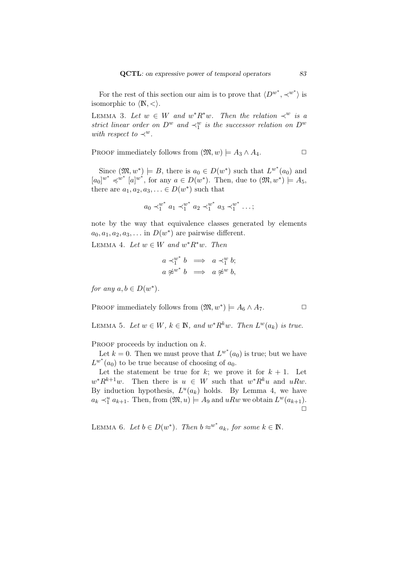For the rest of this section our aim is to prove that  $\langle D^{w^*}, \prec^{w^*} \rangle$  is isomorphic to  $\langle \mathbb{N}, \langle \rangle$ .

LEMMA 3. Let  $w \in W$  and  $w^* R^* w$ . Then the relation  $\prec^w$  is a *strict linear order on*  $D^w$  *and*  $\prec_1^w$  *is the successor relation on*  $D^w$ *with respect to*  $\prec^w$ *.* 

PROOF immediately follows from  $(\mathfrak{M}, w) \models A_3 \land A_4$ .

Since  $(\mathfrak{M}, w^*)$   $\models B$ , there is  $a_0 \in D(w^*)$  such that  $L^{w^*}(a_0)$  and  $[a_0]^{w^*} \preccurlyeq^{w^*} [a]^{w^*}$ , for any  $a \in D(w^*)$ . Then, due to  $(\mathfrak{M}, w^*) \models A_5$ , there are  $a_1, a_2, a_3, \ldots \in D(w^*)$  such that

$$
a_0 \prec_1^{w^*} a_1 \prec_1^{w^*} a_2 \prec_1^{w^*} a_3 \prec_1^{w^*} \ldots;
$$

note by the way that equivalence classes generated by elements  $a_0, a_1, a_2, a_3, \ldots$  in  $D(w^*)$  are pairwise different.

LEMMA 4. Let  $w \in W$  and  $w^*R^*w$ . Then

$$
\begin{array}{rcl}\na \prec_1^{w^*} b & \Longrightarrow & a \prec_1^w b; \\
a \not\approx^{w^*} b & \Longrightarrow & a \not\approx^w b,\n\end{array}
$$

*for any*  $a, b \in D(w^*)$ *.* 

PROOF immediately follows from  $(\mathfrak{M}, w^*)$   $\models A_6 \wedge A_7.$ 

LEMMA 5. Let  $w \in W$ ,  $k \in \mathbb{N}$ , and  $w^* R^k w$ . Then  $L^w(a_k)$  is true.

PROOF proceeds by induction on  $k$ .

Let  $k = 0$ . Then we must prove that  $L^{w^*}(a_0)$  is true; but we have  $L^{w^*}(a_0)$  to be true because of choosing of  $a_0$ .

Let the statement be true for  $k$ ; we prove it for  $k + 1$ . Let  $w^*R^{k+1}w$ . Then there is  $u \in W$  such that  $w^*R^ku$  and  $uRw$ . By induction hypothesis,  $L^u(a_k)$  holds. By Lemma 4, we have  $a_k \prec_1^u a_{k+1}$ . Then, from  $(\mathfrak{M}, u) \models A_9$  and  $uRw$  we obtain  $L^w(a_{k+1})$ .  $\Box$ 

LEMMA 6. Let  $b \in D(w^*)$ . Then  $b \approx^{w^*} a_k$ , for some  $k \in \mathbb{N}$ .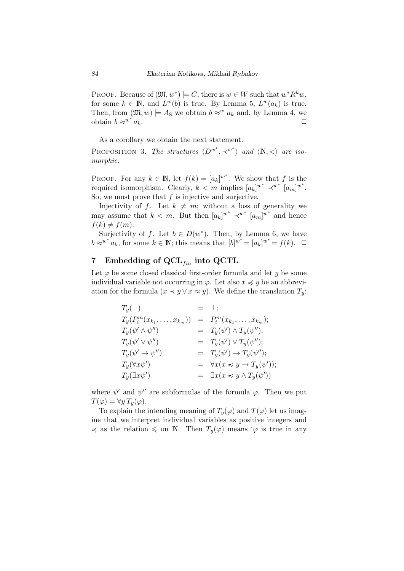PROOF. Because of  $(\mathfrak{M}, w^*) \models C$ , there is  $w \in W$  such that  $w^*R^kw$ , for some  $k \in \mathbb{N}$ , and  $L^w(b)$  is true. By Lemma 5,  $L^w(a_k)$  is true. Then, from  $(\mathfrak{M}, w) \models A_8$  we obtain  $b \approx^w a_k$  and, by Lemma 4, we obtain  $b \approx w^* a_k$ .  $a_k$ .

As a corollary we obtain the next statement.

PROPOSITION 3. The structures  $\langle D^{w^*}, \prec^{w^*} \rangle$  and  $\langle \mathbb{N}, \langle \rangle$  are iso*morphic.*

PROOF. For any  $k \in \mathbb{N}$ , let  $f(k) = [a_k]^{w^*}$ . We show that f is the required isomorphism. Clearly,  $k < m$  implies  $[a_k]^{w^*} \prec^{w^*} [a_m]^{w^*}$ . So, we must prove that *f* is injective and surjective.

Injectivity of f. Let  $k \neq m$ ; without a loss of generality we may assume that  $k < m$ . But then  $[a_k]^{w^*} \prec^{w^*} [a_m]^{w^*}$  and hence  $f(k) \neq f(m)$ .

Surjectivity of *f*. Let  $b \in D(w^*)$ . Then, by Lemma 6, we have *b*  $\approx$ <sup>*w*</sup><sup>*\**</sup> *a<sub>k</sub>*, for some *k*  $\in$  **N**; this means that  $[b]^{w^*} = [a_k]^{w^*} = f(k)$ .  $\Box$ 

# 7 Embedding of QCL<sub>*fin*</sub> into QCTL</sub>

Let  $\varphi$  be some closed classical first-order formula and let *y* be some individual variable not occurring in  $\varphi$ . Let also  $x \preccurlyeq y$  be an abbreviation for the formula  $(x \prec y \lor x \approx y)$ . We define the translation  $T_y$ :

| $T_y(\perp)$                     | $= \perp;$                                               |
|----------------------------------|----------------------------------------------------------|
| $T_{y}(P_i^m(x_{k_1},,x_{k_m}))$ | $= P_i^m(x_{k_1}, \ldots, x_{k_m});$                     |
| $T_y(\psi' \wedge \psi'')$       | $= T_y(\psi') \wedge T_y(\psi'');$                       |
| $T_y(\psi' \vee \psi'')$         | $= T_y(\psi') \vee T_y(\psi'');$                         |
| $T_y(\psi' \to \psi'')$          | $= T_y(\psi') \rightarrow T_y(\psi'');$                  |
| $T_y(\forall x\psi')$            | $= \forall x (x \preccurlyeq y \rightarrow T_y(\psi'));$ |
| $T_y(\exists x\psi')$            | $= \exists x (x \preccurlyeq y \wedge T_y(\psi'))$       |

where  $\psi'$  and  $\psi''$  are subformulas of the formula  $\varphi$ . Then we put  $T(\varphi) = \forall y \, T_y(\varphi).$ 

To explain the intending meaning of  $T_y(\varphi)$  and  $T(\varphi)$  let us imagine that we interpret individual variables as positive integers and  $\preccurlyeq$  as the relation  $\leq$  on N. Then  $T_y(\varphi)$  means ' $\varphi$  is true in any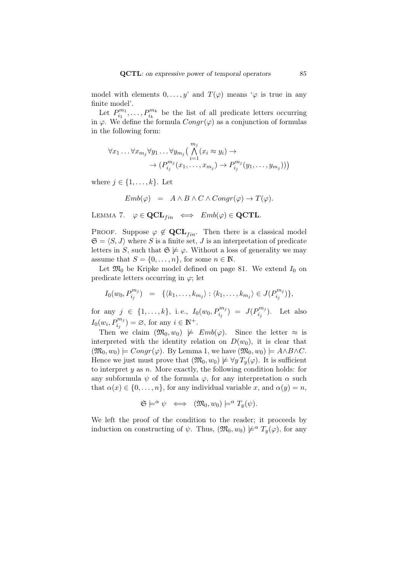model with elements  $0, \ldots, y'$  and  $T(\varphi)$  means ' $\varphi$  is true in any finite model'.

Let  $P_{i_1}^{m_1}$  $p_{i_1}^{m_1}, \ldots, p_{i_k}^{m_k}$  be the list of all predicate letters occurring in  $\varphi$ . We define the formula  $Congr(\varphi)$  as a conjunction of formulas in the following form:

$$
\forall x_1 \ldots \forall x_{m_j} \forall y_1 \ldots \forall y_{m_j} \Big( \bigwedge_{i=1}^{m_j} (x_i \approx y_i) \rightarrow \\ \rightarrow (P_{i_j}^{m_j}(x_1, \ldots, x_{m_j}) \rightarrow P_{i_j}^{m_j}(y_1, \ldots, y_{m_j})) \Big)
$$

where  $j \in \{1, \ldots, k\}$ . Let

$$
Emb(\varphi) = A \wedge B \wedge C \wedge Congr(\varphi) \to T(\varphi).
$$

LEMMA 7.  $\varphi \in \mathbf{QCL}_{fin} \iff Emb(\varphi) \in \mathbf{QCTL}$ .

PROOF. Suppose  $\varphi \notin \mathbf{QCL}_{fin}$ . Then there is a classical model  $\mathfrak{S} = \langle S, J \rangle$  where S is a finite set, J is an interpretation of predicate letters in *S*, such that  $\mathfrak{S} \not\models \varphi$ . Without a loss of generality we may assume that  $S = \{0, \ldots, n\}$ , for some  $n \in \mathbb{N}$ .

Let  $\mathfrak{M}_0$  be Kripke model defined on page 81. We extend  $I_0$  on predicate letters occurring in  $\varphi$ ; let

$$
I_0(w_0, P_{i_j}^{m_j}) = \{ \langle k_1, \ldots, k_{m_j} \rangle : \langle k_1, \ldots, k_{m_j} \rangle \in J(P_{i_j}^{m_j}) \},
$$

for any *<sup>j</sup> ∈ {*1*, . . . , k}*, i. e., *<sup>I</sup>*0(*w*0*, P <sup>m</sup><sup>j</sup> ij* ) = *J*(*P m<sup>j</sup>*  $b_i^{m_j}$ ). Let also  $I_0(w_i, P_{i_j}^{m_j}) = \emptyset$ , for any  $i \in \mathbb{N}^+$ .

Then we claim  $(\mathfrak{M}_0, w_0) \not\models Emb(\varphi)$ . Since the letter  $\approx$  is interpreted with the identity relation on  $D(w_0)$ , it is clear that  $(\mathfrak{M}_0, w_0) \models Congr(\varphi)$ . By Lemma 1, we have  $(\mathfrak{M}_0, w_0) \models A \land B \land C$ . Hence we just must prove that  $(\mathfrak{M}_0, w_0) \not\models \forall y T_y(\varphi)$ . It is sufficient to interpret *y* as *n*. More exactly, the following condition holds: for any subformula  $\psi$  of the formula  $\varphi$ , for any interpretation  $\alpha$  such that  $\alpha(x) \in \{0, \ldots, n\}$ , for any individual variable *x*, and  $\alpha(y) = n$ ,

$$
\mathfrak{S}\models^{\alpha} \psi \iff (\mathfrak{M}_0, w_0)\models^{\alpha} T_y(\psi).
$$

We left the proof of the condition to the reader; it proceeds by induction on constructing of  $\psi$ . Thus,  $(\mathfrak{M}_0, w_0) \not\models^{\alpha} T_{\nu}(\varphi)$ , for any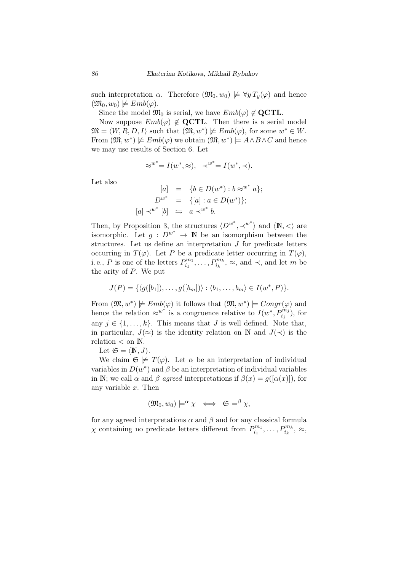such interpretation *α*. Therefore  $(\mathfrak{M}_0, w_0) \not\models \forall y T_y(\varphi)$  and hence  $(\mathfrak{M}_0, w_0) \not\models Emb(\varphi).$ 

Since the model  $\mathfrak{M}_0$  is serial, we have  $Emb(\varphi) \notin \mathbf{QCTL}$ .

Now suppose  $Emb(\varphi) \notin \mathbf{QCTL}$ . Then there is a serial model  $\mathfrak{M} = \langle W, R, D, I \rangle$  such that  $(\mathfrak{M}, w^*) \not\models Emb(\varphi)$ , for some  $w^* \in W$ . From  $(\mathfrak{M}, w^*) \not\models Emb(\varphi)$  we obtain  $(\mathfrak{M}, w^*) \models A \land B \land C$  and hence we may use results of Section 6. Let

$$
\approx^{w^*} = I(w^*, \approx), \quad \prec^{w^*} = I(w^*, \prec).
$$

Let also

$$
[a] = \{b \in D(w^*): b \approx^{w^*} a\};
$$
  
\n
$$
D^{w^*} = \{[a]: a \in D(w^*)\};
$$
  
\n
$$
[a] \prec^{w^*} [b] \iff a \prec^{w^*} b.
$$

Then, by Proposition 3, the structures  $\langle D^{w^*}, \prec^{w^*} \rangle$  and  $\langle \mathbb{N}, \prec \rangle$  are isomorphic. Let  $g : D^{w^*} \to \mathbb{N}$  be an isomorphism between the structures. Let us define an interpretation *J* for predicate letters occurring in  $T(\varphi)$ . Let *P* be a predicate letter occurring in  $T(\varphi)$ , i. e., *P* is one of the letters  $P_{i_1}^{m_1}$  $P_{i_1}^{m_1}, \ldots, P_{i_k}^{m_k}, \approx$ , and  $\prec$ , and let *m* be the arity of *P*. We put

$$
J(P) = \{ \langle g([b_1]), \ldots, g([b_m]) \rangle : \langle b_1, \ldots, b_m \rangle \in I(w^*, P) \}.
$$

From  $(\mathfrak{M}, w^*) \not\models Emb(\varphi)$  it follows that  $(\mathfrak{M}, w^*) \models Congr(\varphi)$  and hence the relation  $\approx w^*$  is a congruence relative to  $I(w^*, P_{i_j}^{m_j})$ , for any  $j \in \{1, \ldots, k\}$ . This means that *J* is well defined. Note that, in particular,  $J(\approx)$  is the identity relation on N and  $J(\prec)$  is the relation  $<$  on  $\mathbb{N}$ .

Let  $\mathfrak{S} = \langle \mathbb{N}, J \rangle$ .

We claim  $\mathfrak{S} \not\models T(\varphi)$ . Let  $\alpha$  be an interpretation of individual variables in  $D(w^*)$  and  $\beta$  be an interpretation of individual variables in **N**; we call  $\alpha$  and  $\beta$  *agreed* interpretations if  $\beta(x) = g([\alpha(x)])$ , for any variable *x*. Then

$$
(\mathfrak{M}_0, w_0) \models^{\alpha} \chi \iff \mathfrak{S} \models^{\beta} \chi,
$$

for any agreed interpretations  $\alpha$  and  $\beta$  and for any classical formula *χ* containing no predicate letters different from  $P_{i_1}^{m_1}$  $P_{i_1}^{m_1}, \ldots, P_{i_k}^{m_k}, \approx$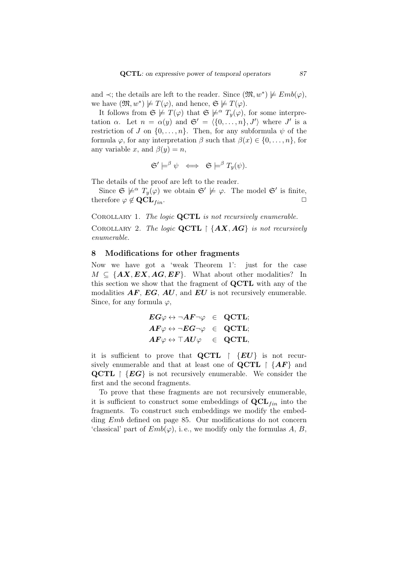and  $\prec$ ; the details are left to the reader. Since  $(\mathfrak{M}, w^*) \not\models Emb(\varphi)$ , we have  $(\mathfrak{M}, w^*) \not\models T(\varphi)$ , and hence,  $\mathfrak{S} \not\models T(\varphi)$ .

It follows from  $\mathfrak{S} \not\models T(\varphi)$  that  $\mathfrak{S} \not\models^{\alpha} T_{\nu}(\varphi)$ , for some interpretation *α*. Let  $n = \alpha(y)$  and  $\mathfrak{S}' = \langle \{0, \ldots, n\}, J' \rangle$  where  $J'$  is a restriction of *J* on  $\{0, \ldots, n\}$ . Then, for any subformula  $\psi$  of the formula  $\varphi$ , for any interpretation  $\beta$  such that  $\beta(x) \in \{0, \ldots, n\}$ , for any variable *x*, and  $\beta(y) = n$ ,

$$
\mathfrak{S}'\models^{\beta}\psi\;\iff\; \mathfrak{S}\models^{\beta} T_y(\psi).
$$

The details of the proof are left to the reader.

Since  $\mathfrak{S} \not\models^{\alpha} T_y(\varphi)$  we obtain  $\mathfrak{S}' \not\models \varphi$ . The model  $\mathfrak{S}'$  is finite, therefore  $\varphi \notin \mathbf{QCL}_{fin}$ .

Corollary 1. *The logic* **QCTL** *is not recursively enumerable.*

Corollary 2. *The logic* **QCTL** *{AX, AG} is not recursively enumerable.*

## 8 Modifications for other fragments

Now we have got a 'weak Theorem 1': just for the case  $M \subseteq \{AX, EX, AG, EF\}$ . What about other modalities? In this section we show that the fragment of **QCTL** with any of the modalities *AF*, *EG*, *AU*, and *EU* is not recursively enumerable. Since, for any formula  $\varphi$ ,

$$
\begin{aligned} & EG\varphi \leftrightarrow \neg AF \neg \varphi &\in &\text{QCTL;}\\ & AF\varphi \leftrightarrow \neg EG \neg \varphi &\in &\text{QCTL;}\\ & AF\varphi \leftrightarrow \top AU\varphi &\in &\text{QCTL,} \end{aligned}
$$

it is sufficient to prove that **QCTL**  $\{EU\}$  is not recursively enumerable and that at least one of  $\mathbf{QCTL} \upharpoonright \{AF\}$  and **QCTL**  $\{EG\}$  is not recursively enumerable. We consider the first and the second fragments.

To prove that these fragments are not recursively enumerable, it is sufficient to construct some embeddings of  $\mathbf{QCL}_{fin}$  into the fragments. To construct such embeddings we modify the embedding *Emb* defined on page 85. Our modifications do not concern 'classical' part of  $Emb(\varphi)$ , i.e., we modify only the formulas *A*, *B*,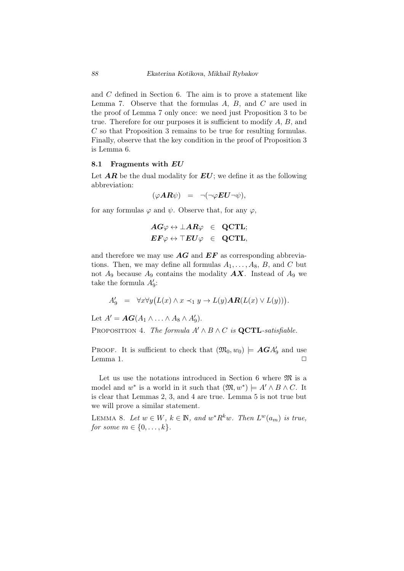and *C* defined in Section 6. The aim is to prove a statement like Lemma 7. Observe that the formulas *A*, *B*, and *C* are used in the proof of Lemma 7 only once: we need just Proposition 3 to be true. Therefore for our purposes it is sufficient to modify *A*, *B*, and *C* so that Proposition 3 remains to be true for resulting formulas. Finally, observe that the key condition in the proof of Proposition 3 is Lemma 6.

#### 8.1 Fragments with *EU*

Let  $AR$  be the dual modality for  $EU$ ; we define it as the following abbreviation:

$$
(\varphi \mathbf{A} \mathbf{R} \psi) = \neg(\neg \varphi \mathbf{E} \mathbf{U} \neg \psi),
$$

for any formulas  $\varphi$  and  $\psi$ . Observe that, for any  $\varphi$ ,

$$
\begin{array}{rclcl} AG\varphi\leftrightarrow\bot AR\varphi &\in& \text{QCTL};\\ EF\varphi\leftrightarrow\top EU\varphi &\in& \text{QCTL},\end{array}
$$

and therefore we may use *AG* and *EF* as corresponding abbreviations. Then, we may define all formulas  $A_1, \ldots, A_8, B$ , and C but not  $A_9$  because  $A_9$  contains the modality  $AX$ . Instead of  $A_9$  we take the formula  $A'_9$ :

$$
A'_9 = \forall x \forall y \big( L(x) \land x \prec_1 y \to L(y) \textbf{AR}(L(x) \lor L(y)) \big).
$$

Let  $A' = AG(A_1 \wedge \ldots \wedge A_8 \wedge A'_9)$ .

PROPOSITION 4. *The formula*  $A' \wedge B \wedge C$  *is* **QCTL**-satisfiable.

PROOF. It is sufficient to check that  $(\mathfrak{M}_0, w_0) \models \mathbf{AG} A'_9$  and use Lemma 1.  $\Box$ 

Let us use the notations introduced in Section 6 where  $\mathfrak{M}$  is a model and  $w^*$  is a world in it such that  $(\mathfrak{M}, w^*)$   $\models A' \land B \land C$ . It is clear that Lemmas 2, 3, and 4 are true. Lemma 5 is not true but we will prove a similar statement.

LEMMA 8. Let  $w \in W$ ,  $k \in \mathbb{N}$ , and  $w^*R^kw$ . Then  $L^w(a_m)$  is true, *for some*  $m \in \{0, ..., k\}$ *.*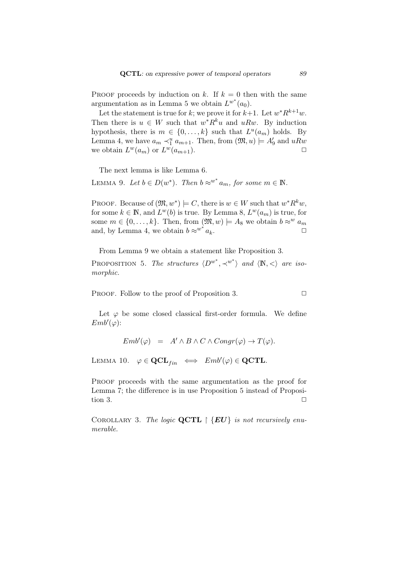PROOF proceeds by induction on  $k$ . If  $k = 0$  then with the same argumentation as in Lemma 5 we obtain  $L^{w^*}(a_0)$ .

Let the statement is true for *k*; we prove it for  $k+1$ . Let  $w^*R^{k+1}w$ . Then there is  $u \in W$  such that  $w^*R^ku$  and  $uRw$ . By induction hypothesis, there is  $m \in \{0, \ldots, k\}$  such that  $L^u(a_m)$  holds. By Lemma 4, we have  $a_m \prec_1^u a_{m+1}$ . Then, from  $(\mathfrak{M}, u) \models A'_9$  and  $uRw$ we obtain  $L^w(a_m)$  or  $L^w(a_{m+1})$ .

The next lemma is like Lemma 6.

LEMMA 9. Let  $b \in D(w^*)$ . Then  $b \approx^{w^*} a_m$ , for some  $m \in \mathbb{N}$ .

PROOF. Because of  $(\mathfrak{M}, w^*) \models C$ , there is  $w \in W$  such that  $w^*R^kw$ , for some  $k \in \mathbb{N}$ , and  $L^w(b)$  is true. By Lemma 8,  $L^w(a_m)$  is true, for some  $m \in \{0, \ldots, k\}$ . Then, from  $(\mathfrak{M}, w) \models A_8$  we obtain  $b \approx^w a_m$ and, by Lemma 4, we obtain  $b \approx w^* a_k$ .  $a_k$ .  $\Box$ 

From Lemma 9 we obtain a statement like Proposition 3.

PROPOSITION 5. *The structures*  $\langle D^{w^*}, \prec^{w^*} \rangle$  *and*  $\langle \mathbb{N}, \lt \rangle$  *are isomorphic.*

PROOF. Follow to the proof of Proposition 3. **□** 

Let  $\varphi$  be some closed classical first-order formula. We define  $Emb'(\varphi)$ :

$$
Emb'(\varphi) = A' \wedge B \wedge C \wedge Congr(\varphi) \to T(\varphi).
$$

LEMMA 10.  $\varphi \in \mathbf{QCL}_{fin} \iff \text{Emb}'(\varphi) \in \mathbf{QCTL}$ .

PROOF proceeds with the same argumentation as the proof for Lemma 7; the difference is in use Proposition 5 instead of Proposition 3.  $\Box$ 

Corollary 3. *The logic* **QCTL** *{EU} is not recursively enumerable.*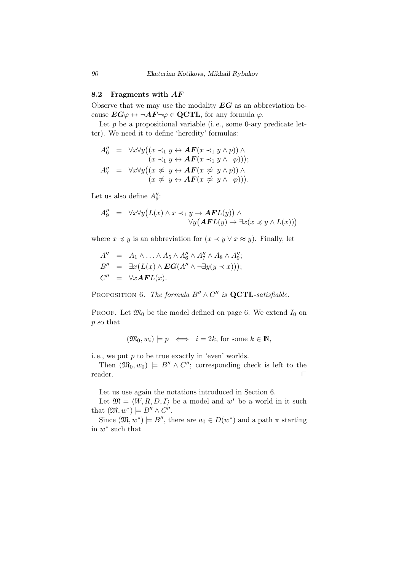## 8.2 Fragments with *AF*

Observe that we may use the modality *EG* as an abbreviation because  $EG\varphi \leftrightarrow \neg AF\varphi \in \mathbf{QCTL}$ , for any formula  $\varphi$ .

Let  $p$  be a propositional variable (i.e., some 0-ary predicate letter). We need it to define 'heredity' formulas:

$$
A_6'' = \forall x \forall y ((x \prec_1 y \leftrightarrow AF(x \prec_1 y \land p)) \land (x \prec_1 y \leftrightarrow AF(x \prec_1 y \land \neg p))) ;A_7'' = \forall x \forall y ((x \not\approx y \leftrightarrow AF(x \not\approx y \land p)) \land (x \not\approx y \leftrightarrow AF(x \not\approx y \land \neg p))).
$$

Let us also define  $A''_9$ :

$$
A_9'' = \forall x \forall y (L(x) \land x \prec_1 y \to \mathbf{AFL}(y)) \land \forall y (\mathbf{AFL}(y) \to \exists x (x \preccurlyeq y \land L(x)))
$$

where  $x \preccurlyeq y$  is an abbreviation for  $(x \prec y \lor x \approx y)$ . Finally, let

$$
A'' = A_1 \wedge \ldots \wedge A_5 \wedge A_6'' \wedge A_7'' \wedge A_8 \wedge A_9'';
$$
  
\n
$$
B'' = \exists x (L(x) \wedge \mathbf{EG}(A'' \wedge \neg \exists y (y \prec x)));
$$
  
\n
$$
C'' = \forall x \mathbf{AF} L(x).
$$

PROPOSITION 6. *The formula*  $B'' \wedge C''$  *is* **QCTL**-satisfiable.

PROOF. Let  $\mathfrak{M}_0$  be the model defined on page 6. We extend  $I_0$  on *p* so that

$$
(\mathfrak{M}_0, w_i) \models p \iff i = 2k
$$
, for some  $k \in \mathbb{N}$ ,

i. e., we put *p* to be true exactly in 'even' worlds.

Then  $(\mathfrak{M}_0, w_0)$   $\models$  *B''*  $\wedge$  *C''*; corresponding check is left to the reader. <del>□</del>

Let us use again the notations introduced in Section 6.

Let  $\mathfrak{M} = \langle W, R, D, I \rangle$  be a model and  $w^*$  be a world in it such that  $(\mathfrak{M}, w^*) \models B'' \wedge C''$ .

Since  $(\mathfrak{M}, w^*)$   $\models$  *B''*, there are  $a_0 \in D(w^*)$  and a path  $\pi$  starting in *w ∗* such that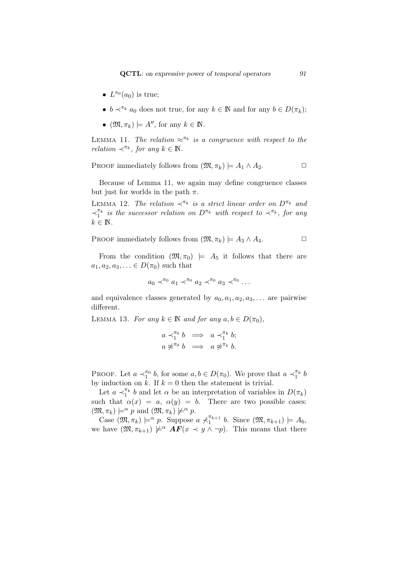- $L^{\pi_0}(a_0)$  is true;
- $b \prec^{\pi_k} a_0$  does not true, for any  $k \in \mathbb{N}$  and for any  $b \in D(\pi_k)$ ;
- $\bullet$  ( $\mathfrak{M}, \pi_k$ )  $\models A''$ , for any  $k \in \mathbb{N}$ .

LEMMA 11. *The relation*  $\approx^{n_k}$  *is a congruence with respect to the relation*  $\prec^{\pi_k}$ *, for any*  $k \in \mathbb{N}$ *.* 

PROOF immediately follows from  $(\mathfrak{M}, \pi_k) \models A_1 \land A_2$ .

Because of Lemma 11, we again may define congruence classes but just for worlds in the path  $\pi$ .

LEMMA 12. *The relation*  $\prec^{\pi_k}$  *is a strict linear order on*  $D^{\pi_k}$  *and ≺ πk* 1 *is the successor relation on Dπ<sup>k</sup> with respect to ≺π<sup>k</sup> , for any*  $k \in \mathbb{N}$ .

PROOF immediately follows from  $(\mathfrak{M}, \pi_k) \models A_3 \land A_4$ .

From the condition  $(\mathfrak{M}, \pi_0)$   $\models$  *A*<sub>5</sub> it follows that there are  $a_1, a_2, a_3, \ldots \in D(\pi_0)$  such that

$$
a_0 \prec^{\pi_0} a_1 \prec^{\pi_0} a_2 \prec^{\pi_0} a_3 \prec^{\pi_0} \ldots
$$

and equivalence classes generated by  $a_0, a_1, a_2, a_3, \ldots$  are pairwise different.

LEMMA 13. *For any*  $k \in \mathbb{N}$  *and for any*  $a, b \in D(\pi_0)$ *,* 

$$
\begin{array}{rcl}\na \prec_1^{\pi_0} b & \Longrightarrow & a \prec_1^{\pi_k} b; \\
a \not\approx^{\pi_0} b & \Longrightarrow & a \not\approx^{\pi_k} b.\n\end{array}
$$

PROOF. Let  $a \prec_1^{\pi_0} b$ , for some  $a, b \in D(\pi_0)$ . We prove that  $a \prec_1^{\pi_k} b$ by induction on  $k$ . If  $k = 0$  then the statement is trivial.

Let  $a \prec_1^{\pi_k} b$  and let  $\alpha$  be an interpretation of variables in  $D(\pi_k)$ such that  $\alpha(x) = a, \alpha(y) = b$ . There are two possible cases:  $(\mathfrak{M}, \pi_k) \models^{\alpha} p \text{ and } (\mathfrak{M}, \pi_k) \not\models^{\alpha} p.$ 

 $\text{Case } (\mathfrak{M}, \pi_k) \models \alpha p$ . Suppose  $a \not\prec_1^{\pi_{k+1}}$  $\int_{1}^{\pi_{k+1}} b$ . Since  $(\mathfrak{M}, \pi_{k+1}) \models A_6$ , we have  $(\mathfrak{M}, \pi_{k+1}) \not\models^{\alpha} \mathbf{AF}(x \prec y \land \neg p)$ . This means that there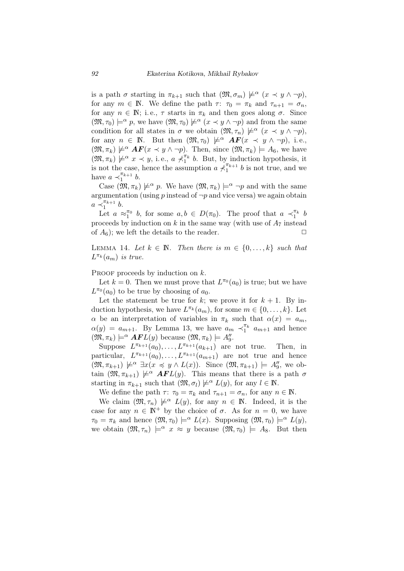is a path  $\sigma$  starting in  $\pi_{k+1}$  such that  $(\mathfrak{M}, \sigma_m) \not\models^{\alpha} (x \prec y \land \neg p),$ for any  $m \in \mathbb{N}$ . We define the path  $\tau: \tau_0 = \pi_k$  and  $\tau_{n+1} = \sigma_n$ , for any  $n \in \mathbb{N}$ ; i.e.,  $\tau$  starts in  $\pi_k$  and then goes along  $\sigma$ . Since  $(\mathfrak{M}, \tau_0) \models^{\alpha} p$ , we have  $(\mathfrak{M}, \tau_0) \not\models^{\alpha} (x \prec y \land \neg p)$  and from the same condition for all states in  $\sigma$  we obtain  $(\mathfrak{M}, \tau_n) \not\models^{\alpha} (x \prec y \land \neg p),$ for any  $n \in \mathbb{N}$ . But then  $(\mathfrak{M}, \tau_0) \not\models^{\alpha} \mathbf{AF}(x \prec y \land \neg p)$ , i.e.,  $(\mathfrak{M}, \pi_k) \not\models^{\alpha} \mathbf{AF}(x \prec y \land \neg p)$ . Then, since  $(\mathfrak{M}, \pi_k) \models A_6$ , we have  $(\mathfrak{M}, \pi_k) \not\models \alpha x \prec y$ , i.e.,  $a \not\prec_1^{\pi_k} b$ . But, by induction hypothesis, it is not the case, hence the assumption  $a \nmid \hat{\pi}^{(\pi_{k+1})}$  $\int_{1}^{\pi_{k+1}} b$  is not true, and we have  $a \prec_1^{\pi_{k+1}}$  $\int_{1}^{\pi_{k+1}} b$ .

Case  $(\mathfrak{M}, \pi_k) \not\models^{\alpha} p$ . We have  $(\mathfrak{M}, \pi_k) \not\models^{\alpha} \neg p$  and with the same argumentation (using  $p$  instead of  $\neg p$  and vice versa) we again obtain  $a \prec_1^{\pi_{k+1}}$  $\int_{1}^{\pi_{k+1}} b$ .

Let  $a \approx_1^{\pi_0} b$ , for some  $a, b \in D(\pi_0)$ . The proof that  $a \prec_1^{\pi_k} b$ proceeds by induction on  $k$  in the same way (with use of  $A_7$  instead of  $A_6$ ); we left the details to the reader.  $\Box$ 

LEMMA 14. Let  $k \in \mathbb{N}$ . Then there is  $m \in \{0, \ldots, k\}$  such that  $L^{\pi_k}(a_m)$  *is true.* 

PROOF proceeds by induction on  $k$ .

Let  $k = 0$ . Then we must prove that  $L^{\pi_0}(a_0)$  is true; but we have  $L^{\pi_0}(a_0)$  to be true by choosing of  $a_0$ .

Let the statement be true for  $k$ ; we prove it for  $k + 1$ . By induction hypothesis, we have  $L^{\pi_k}(a_m)$ , for some  $m \in \{0, \ldots, k\}$ . Let *α* be an interpretation of variables in  $\pi_k$  such that  $\alpha(x) = a_m$ ,  $\alpha(y) = a_{m+1}$ . By Lemma 13, we have  $a_m \prec_1^{\pi_k} a_{m+1}$  and hence  $(\mathfrak{M}, \pi_k) \models^{\alpha} \mathbf{AFL}(y)$  because  $(\mathfrak{M}, \pi_k) \models A''_9$ .

Suppose  $L^{\pi_{k+1}}(a_0), \ldots, L^{\pi_{k+1}}(a_{k+1})$  are not true. Then, in particular,  $L^{\pi_{k+1}}(a_0), \ldots, L^{\pi_{k+1}}(a_{m+1})$  are not true and hence  $(\mathfrak{M}, \pi_{k+1}) \not\models \alpha \exists x (x \preccurlyeq y \wedge L(x))$ . Since  $(\mathfrak{M}, \pi_{k+1}) \models A''_9$ , we obtain  $(\mathfrak{M}, \pi_{k+1}) \not\models \alpha \mathbf{AFL}(y)$ . This means that there is a path  $\sigma$ starting in  $\pi_{k+1}$  such that  $(\mathfrak{M}, \sigma_l) \not\models^{\alpha} L(y)$ , for any  $l \in \mathbb{N}$ .

We define the path  $\tau$ :  $\tau_0 = \pi_k$  and  $\tau_{n+1} = \sigma_n$ , for any  $n \in \mathbb{N}$ .

We claim  $(\mathfrak{M}, \tau_n) \not\models^{\alpha} L(y)$ , for any  $n \in \mathbb{N}$ . Indeed, it is the case for any  $n \in \mathbb{N}^+$  by the choice of  $\sigma$ . As for  $n = 0$ , we have  $\tau_0 = \pi_k$  and hence  $(\mathfrak{M}, \tau_0) \models^{\alpha} L(x)$ . Supposing  $(\mathfrak{M}, \tau_0) \models^{\alpha} L(y)$ , we obtain  $(\mathfrak{M}, \tau_n) \models^{\alpha} x \approx y$  because  $(\mathfrak{M}, \tau_0) \models A_8$ . But then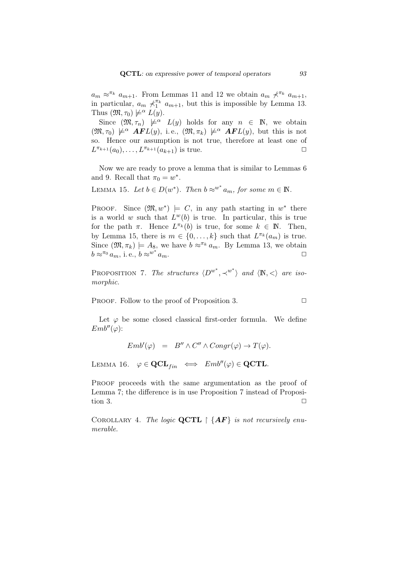$a_m \approx^{\pi_k} a_{m+1}$ . From Lemmas 11 and 12 we obtain  $a_m \nless^{\pi_k} a_{m+1}$ , in particular,  $a_m \nless^{\pi_k} a_{m+1}$ , but this is impossible by Lemma 13. Thus  $(\mathfrak{M}, \tau_0) \not\models^{\alpha} L(y)$ .

Since  $(\mathfrak{M}, \tau_n) \not\models^{\alpha} L(y)$  holds for any  $n \in \mathbb{N}$ , we obtain  $(\mathfrak{M}, \tau_0) \not\models \alpha \ \mathbf{AFL}(y)$ , i.e.,  $(\mathfrak{M}, \pi_k) \not\models \alpha \ \mathbf{AFL}(y)$ , but this is not so. Hence our assumption is not true, therefore at least one of  $L^{\pi_{k+1}}(a_0), \ldots, L^{\pi_{k+1}}(a_{k+1})$  is true.  $\Box$ 

Now we are ready to prove a lemma that is similar to Lemmas 6 and 9. Recall that  $\pi_0 = w^*$ .

LEMMA 15. Let 
$$
b \in D(w^*)
$$
. Then  $b \approx^{w^*} a_m$ , for some  $m \in \mathbb{N}$ .

PROOF. Since  $(\mathfrak{M}, w^*) \models C$ , in any path starting in  $w^*$  there is a world *w* such that  $L^w(b)$  is true. In particular, this is true for the path  $\pi$ . Hence  $L^{\pi_k}(b)$  is true, for some  $k \in \mathbb{N}$ . Then, by Lemma 15, there is  $m \in \{0, \ldots, k\}$  such that  $L^{\pi_k}(a_m)$  is true. Since  $(\mathfrak{M}, \pi_k) \models A_8$ , we have  $b \approx \pi_k a_m$ . By Lemma 13, we obtain  $b \approx^{\pi_0} a_m$ , i.e.,  $b \approx^{w^*} a_m$ .  $a_m$ .

PROPOSITION 7. *The structures*  $\langle D^{w^*}, \prec^{w^*} \rangle$  *and*  $\langle \mathbb{N}, \lt \rangle$  *are isomorphic.*

PROOF. Follow to the proof of Proposition 3. **□** 

Let  $\varphi$  be some closed classical first-order formula. We define  $Emb''(\varphi)$ :

$$
Emb'(\varphi) = B'' \wedge C'' \wedge Congr(\varphi) \to T(\varphi).
$$

LEMMA 16.  $\varphi \in \text{QCL}_{fin} \iff Emb''(\varphi) \in \text{QCTL}$ .

PROOF proceeds with the same argumentation as the proof of Lemma 7; the difference is in use Proposition 7 instead of Proposition 3.  $\Box$ 

COROLLARY 4. The logic  $\mathbf{QCTL} \restriction \{AF\}$  is not recursively enu*merable.*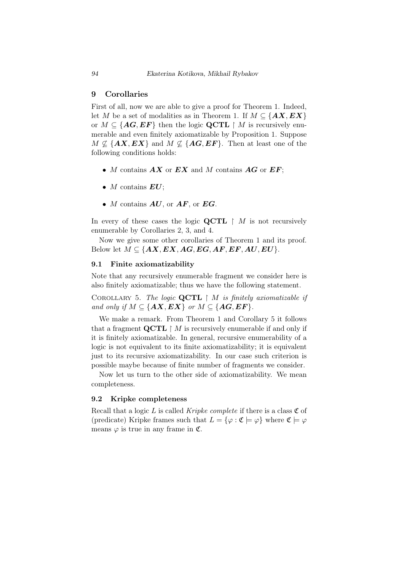## 9 Corollaries

First of all, now we are able to give a proof for Theorem 1. Indeed, let *M* be a set of modalities as in Theorem 1. If  $M \subseteq \{AX, EX\}$ or  $M \subseteq \{AG, EF\}$  then the logic **QCTL**  $\upharpoonright M$  is recursively enumerable and even finitely axiomatizable by Proposition 1. Suppose  $M \not\subseteq \{AX, EX\}$  and  $M \not\subseteq \{AG, EF\}$ . Then at least one of the following conditions holds:

- *• M* contains *AX* or *EX* and *M* contains *AG* or *EF*;
- *• M* contains *EU*;
- *• M* contains *AU*, or *AF*, or *EG*.

In every of these cases the logic **QCTL**  $\upharpoonright$  *M* is not recursively enumerable by Corollaries 2, 3, and 4.

Now we give some other corollaries of Theorem 1 and its proof. Below let  $M \subseteq \{AX, EX, AG, EG, AF, EF, AU, EU\}$ .

## 9.1 Finite axiomatizability

Note that any recursively enumerable fragment we consider here is also finitely axiomatizable; thus we have the following statement.

Corollary 5. *The logic* **QCTL** *M is finitely axiomatizable if and only if*  $M \subseteq \{AX, EX\}$  *or*  $M \subseteq \{AG, EF\}$ *.* 

We make a remark. From Theorem 1 and Corollary 5 it follows that a fragment  $\mathbf{QCTL} \restriction M$  is recursively enumerable if and only if it is finitely axiomatizable. In general, recursive enumerability of a logic is not equivalent to its finite axiomatizability; it is equivalent just to its recursive axiomatizability. In our case such criterion is possible maybe because of finite number of fragments we consider.

Now let us turn to the other side of axiomatizability. We mean completeness.

#### 9.2 Kripke completeness

Recall that a logic  $L$  is called *Kripke complete* if there is a class  $\mathfrak C$  of (predicate) Kripke frames such that  $L = {\varphi : \mathfrak{C} \models \varphi}$  where  $\mathfrak{C} \models \varphi$ means  $\varphi$  is true in any frame in  $\mathfrak{C}$ .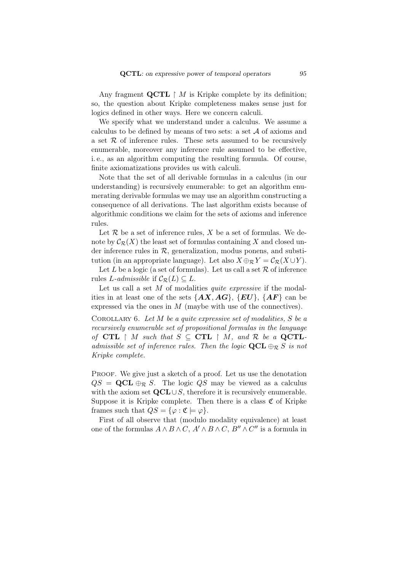Any fragment  $\mathbf{QCTL} \restriction M$  is Kripke complete by its definition; so, the question about Kripke completeness makes sense just for logics defined in other ways. Here we concern calculi.

We specify what we understand under a calculus. We assume a calculus to be defined by means of two sets: a set *A* of axioms and a set *R* of inference rules. These sets assumed to be recursively enumerable, moreover any inference rule assumed to be effective, i. e., as an algorithm computing the resulting formula. Of course, finite axiomatizations provides us with calculi.

Note that the set of all derivable formulas in a calculus (in our understanding) is recursively enumerable: to get an algorithm enumerating derivable formulas we may use an algorithm constructing a consequence of all derivations. The last algorithm exists because of algorithmic conditions we claim for the sets of axioms and inference rules.

Let  $R$  be a set of inference rules,  $X$  be a set of formulas. We denote by  $\mathcal{C}_{\mathcal{R}}(X)$  the least set of formulas containing X and closed under inference rules in  $R$ , generalization, modus ponens, and substitution (in an appropriate language). Let also  $X \oplus_R Y = C_R(X \cup Y)$ .

Let  $L$  be a logic (a set of formulas). Let us call a set  $R$  of inference rules *L*-admissible if  $C_{\mathcal{R}}(L) \subseteq L$ .

Let us call a set M of modalities *quite expressive* if the modalities in at least one of the sets  $\{AX, AG\}$ ,  $\{EU\}$ ,  $\{AF\}$  can be expressed via the ones in *M* (maybe with use of the connectives).

Corollary 6. *Let M be a quite expressive set of modalities, S be a recursively enumerable set of propositional formulas in the language of* **CTL**  $\upharpoonright$  *M such that*  $S \subseteq$  **CTL**  $\upharpoonright$  *M, and*  $R$  *be a* **QCTL***admissible set of inference rules. Then the logic* **QCL** *⊕<sup>R</sup> S is not Kripke complete.*

PROOF. We give just a sketch of a proof. Let us use the denotation  $QS = \mathbf{QCL} \oplus_R S$ . The logic *QS* may be viewed as a calculus with the axiom set **QCL***∪S*, therefore it is recursively enumerable. Suppose it is Kripke complete. Then there is a class  $\mathfrak C$  of Kripke frames such that  $QS = {\varphi : \mathfrak{C} \models \varphi}.$ 

First of all observe that (modulo modality equivalence) at least one of the formulas  $A \wedge B \wedge C$ ,  $A' \wedge B \wedge C$ ,  $B'' \wedge C''$  is a formula in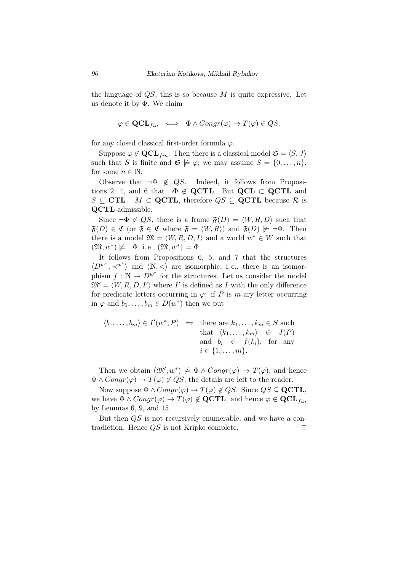the language of *QS*; this is so because *M* is quite expressive. Let us denote it by Φ. We claim

$$
\varphi \in \mathbf{QCL}_{fin} \iff \Phi \land Congr(\varphi) \to T(\varphi) \in QS,
$$

for any closed classical first-order formula *φ*.

Suppose  $\varphi \notin \mathbf{QCL}_{fin}$ . Then there is a classical model  $\mathfrak{S} = \langle S, J \rangle$ such that *S* is finite and  $\mathfrak{S} \not\models \varphi$ ; we may assume  $S = \{0, \ldots, n\}$ , for some  $n \in \mathbb{N}$ .

Observe that  $\neg \Phi \notin QS$ . Indeed, it follows from Propositions 2, 4, and 6 that  $\neg \Phi \notin \mathbf{QCTL}$ . But  $\mathbf{QCL} \subset \mathbf{QCTL}$  and  $S \subseteq \textbf{CTL} \upharpoonright M \subset \textbf{QCTL}$ , therefore  $QS \subseteq \textbf{QCTL}$  because  $R$  is **QCTL**-admissible.

Since  $\neg \Phi \notin QS$ , there is a frame  $\mathfrak{F}(D) = \langle W, R, D \rangle$  such that  $\mathfrak{F}(D) \in \mathfrak{C}$  (or  $\mathfrak{F} \in \mathfrak{C}$  where  $\mathfrak{F} = \langle W, R \rangle$ ) and  $\mathfrak{F}(D) \not\models \neg \Phi$ . Then there is a model  $\mathfrak{M} = \langle W, R, D, I \rangle$  and a world  $w^* \in W$  such that  $(\mathfrak{M}, w^*) \not\models \neg \Phi, \text{ i.e., } (\mathfrak{M}, w^*) \models \Phi.$ 

It follows from Propositions 6, 5, and 7 that the structures  $\langle D^{w^*}, \prec^{w^*} \rangle$  and  $\langle \mathbb{N}, \prec \rangle$  are isomorphic, i.e., there is an isomorphism  $f: \mathbb{N} \to D^{w^*}$  for the structures. Let us consider the model  $\mathfrak{M}' = \langle W, R, D, I' \rangle$  where  $I'$  is defined as *I* with the only difference for predicate letters occurring in  $\varphi$ : if *P* is *m*-ary letter occurring in  $\varphi$  and  $b_1, \ldots, b_m \in D(w^*)$  then we put

$$
\langle b_1, \dots, b_m \rangle \in I'(w^*, P) \iff \text{there are } k_1, \dots, k_m \in S \text{ such that } \langle k_1, \dots, k_m \rangle \in J(P) \text{ and } b_i \in f(k_i), \text{ for any } i \in \{1, \dots, m\}.
$$

Then we obtain  $(\mathfrak{M}', w^*) \not\models \Phi \land Congr(\varphi) \rightarrow T(\varphi)$ , and hence  $\Phi \wedge Congr(\varphi) \rightarrow T(\varphi) \notin QS$ ; the details are left to the reader.

Now suppose  $\Phi \wedge Congr(\varphi) \rightarrow T(\varphi) \notin QS$ . Since  $QS \subseteq \mathbf{QCTL}$ , we have  $\Phi \wedge Congr(\varphi) \rightarrow T(\varphi) \notin \mathbf{QCTL}$ , and hence  $\varphi \notin \mathbf{QCL}_{fin}$ by Lemmas 6, 9, and 15.

But then *QS* is not recursively enumerable, and we have a contradiction. Hence  $QS$  is not Kripke complete.  $\Box$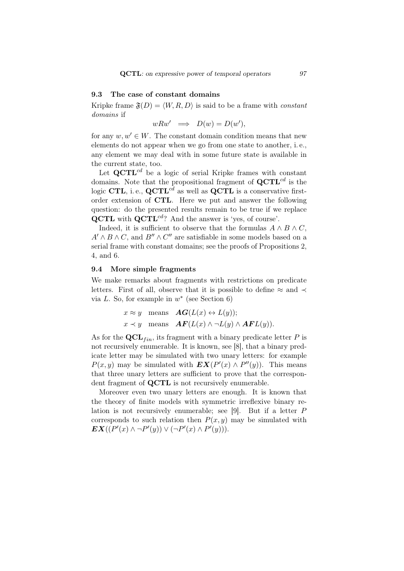# 9.3 The case of constant domains

Kripke frame  $\mathfrak{F}(D) = \langle W, R, D \rangle$  is said to be a frame with *constant domains* if

$$
wRw' \implies D(w) = D(w'),
$$

for any  $w, w' \in W$ . The constant domain condition means that new elements do not appear when we go from one state to another, i. e., any element we may deal with in some future state is available in the current state, too.

Let **QCTL**<sup>*cd*</sup> be a logic of serial Kripke frames with constant domains. Note that the propositional fragment of **QCTL***cd* is the logic **CTL**, i. e., **QCTL***cd* as well as **QCTL** is a conservative firstorder extension of **CTL**. Here we put and answer the following question: do the presented results remain to be true if we replace **QCTL** with **QCTL***cd*? And the answer is 'yes, of course'.

Indeed, it is sufficient to observe that the formulas  $A \wedge B \wedge C$ ,  $A' \wedge B \wedge C$ , and  $B'' \wedge C''$  are satisfiable in some models based on a serial frame with constant domains; see the proofs of Propositions 2, 4, and 6.

#### 9.4 More simple fragments

We make remarks about fragments with restrictions on predicate letters. First of all, observe that it is possible to define  $\approx$  and  $\prec$ via *L*. So, for example in  $w^*$  (see Section 6)

$$
x \approx y
$$
 means  $AG(L(x) \leftrightarrow L(y));$   
\n $x \prec y$  means  $AF(L(x) \land \neg L(y) \land AF(L(y))).$ 

As for the  $\mathbf{QCL}_{fin}$ , its fragment with a binary predicate letter P is not recursively enumerable. It is known, see [8], that a binary predicate letter may be simulated with two unary letters: for example *P*(*x*, *y*) may be simulated with  $EX(P'(x) \wedge P''(y))$ . This means that three unary letters are sufficient to prove that the correspondent fragment of **QCTL** is not recursively enumerable.

Moreover even two unary letters are enough. It is known that the theory of finite models with symmetric irreflexive binary relation is not recursively enumerable; see [9]. But if a letter *P* corresponds to such relation then  $P(x, y)$  may be simulated with  $EX((P'(x) \land \neg P'(y)) \lor (\neg P'(x) \land P'(y))).$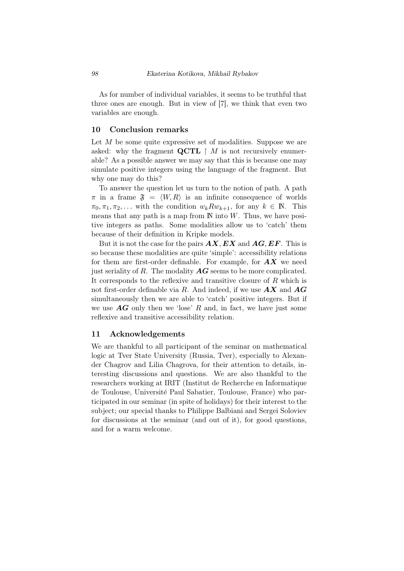As for number of individual variables, it seems to be truthful that three ones are enough. But in view of [7], we think that even two variables are enough.

# 10 Conclusion remarks

Let *M* be some quite expressive set of modalities. Suppose we are asked: why the fragment  $\mathbf{QCTL} \restriction M$  is not recursively enumerable? As a possible answer we may say that this is because one may simulate positive integers using the language of the fragment. But why one may do this?

To answer the question let us turn to the notion of path. A path  $\pi$  in a frame  $\mathfrak{F} = \langle W, R \rangle$  is an infinite consequence of worlds  $\pi_0, \pi_1, \pi_2, \ldots$  with the condition  $w_k R w_{k+1}$ , for any  $k \in \mathbb{N}$ . This means that any path is a map from  $\mathbb N$  into  $W$ . Thus, we have positive integers as paths. Some modalities allow us to 'catch' them because of their definition in Kripke models.

But it is not the case for the pairs *AX, EX* and *AG, EF*. This is so because these modalities are quite 'simple': accessibility relations for them are first-order definable. For example, for *AX* we need just seriality of *R*. The modality *AG* seems to be more complicated. It corresponds to the reflexive and transitive closure of *R* which is not first-order definable via *R*. And indeed, if we use *AX* and *AG* simultaneously then we are able to 'catch' positive integers. But if we use  $\overline{AG}$  only then we 'lose'  $R$  and, in fact, we have just some reflexive and transitive accessibility relation.

# 11 Acknowledgements

We are thankful to all participant of the seminar on mathematical logic at Tver State University (Russia, Tver), especially to Alexander Chagrov and Lilia Chagrova, for their attention to details, interesting discussions and questions. We are also thankful to the researchers working at IRIT (Institut de Recherche en Informatique de Toulouse, Universit´e Paul Sabatier, Toulouse, France) who participated in our seminar (in spite of holidays) for their interest to the subject; our special thanks to Philippe Balbiani and Sergei Soloviev for discussions at the seminar (and out of it), for good questions, and for a warm welcome.